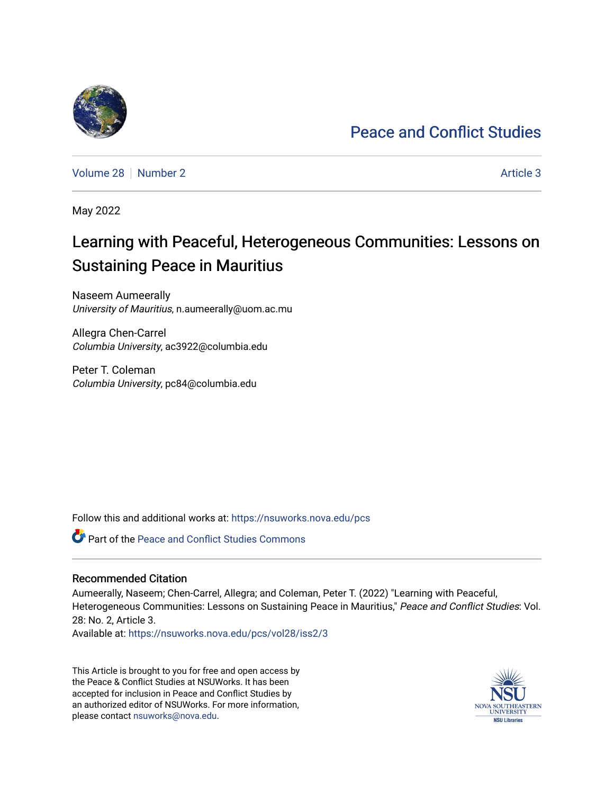# [Peace and Conflict Studies](https://nsuworks.nova.edu/pcs)

[Volume 28](https://nsuworks.nova.edu/pcs/vol28) [Number 2](https://nsuworks.nova.edu/pcs/vol28/iss2) [Article 3](https://nsuworks.nova.edu/pcs/vol28/iss2/3) Article 3

May 2022

# Learning with Peaceful, Heterogeneous Communities: Lessons on Sustaining Peace in Mauritius

Naseem Aumeerally University of Mauritius, n.aumeerally@uom.ac.mu

Allegra Chen-Carrel Columbia University, ac3922@columbia.edu

Peter T. Coleman Columbia University, pc84@columbia.edu

Follow this and additional works at: [https://nsuworks.nova.edu/pcs](https://nsuworks.nova.edu/pcs?utm_source=nsuworks.nova.edu%2Fpcs%2Fvol28%2Fiss2%2F3&utm_medium=PDF&utm_campaign=PDFCoverPages)

Part of the [Peace and Conflict Studies Commons](http://network.bepress.com/hgg/discipline/397?utm_source=nsuworks.nova.edu%2Fpcs%2Fvol28%2Fiss2%2F3&utm_medium=PDF&utm_campaign=PDFCoverPages) 

### Recommended Citation

Aumeerally, Naseem; Chen-Carrel, Allegra; and Coleman, Peter T. (2022) "Learning with Peaceful, Heterogeneous Communities: Lessons on Sustaining Peace in Mauritius," Peace and Conflict Studies: Vol. 28: No. 2, Article 3.

Available at: [https://nsuworks.nova.edu/pcs/vol28/iss2/3](https://nsuworks.nova.edu/pcs/vol28/iss2/3?utm_source=nsuworks.nova.edu%2Fpcs%2Fvol28%2Fiss2%2F3&utm_medium=PDF&utm_campaign=PDFCoverPages)

This Article is brought to you for free and open access by the Peace & Conflict Studies at NSUWorks. It has been accepted for inclusion in Peace and Conflict Studies by an authorized editor of NSUWorks. For more information, please contact [nsuworks@nova.edu](mailto:nsuworks@nova.edu).

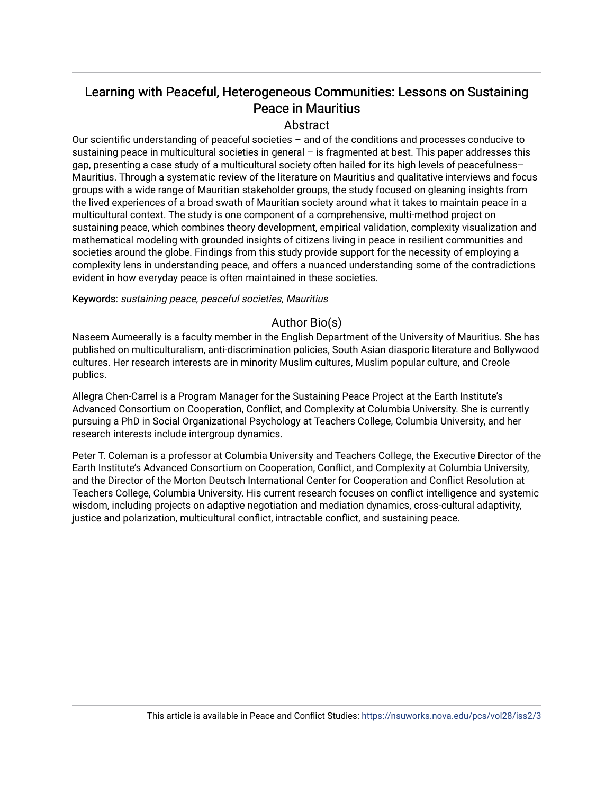# Learning with Peaceful, Heterogeneous Communities: Lessons on Sustaining Peace in Mauritius

# Abstract

Our scientific understanding of peaceful societies – and of the conditions and processes conducive to sustaining peace in multicultural societies in general - is fragmented at best. This paper addresses this gap, presenting a case study of a multicultural society often hailed for its high levels of peacefulness– Mauritius. Through a systematic review of the literature on Mauritius and qualitative interviews and focus groups with a wide range of Mauritian stakeholder groups, the study focused on gleaning insights from the lived experiences of a broad swath of Mauritian society around what it takes to maintain peace in a multicultural context. The study is one component of a comprehensive, multi-method project on sustaining peace, which combines theory development, empirical validation, complexity visualization and mathematical modeling with grounded insights of citizens living in peace in resilient communities and societies around the globe. Findings from this study provide support for the necessity of employing a complexity lens in understanding peace, and offers a nuanced understanding some of the contradictions evident in how everyday peace is often maintained in these societies.

Keywords: sustaining peace, peaceful societies, Mauritius

# Author Bio(s)

Naseem Aumeerally is a faculty member in the English Department of the University of Mauritius. She has published on multiculturalism, anti-discrimination policies, South Asian diasporic literature and Bollywood cultures. Her research interests are in minority Muslim cultures, Muslim popular culture, and Creole publics.

Allegra Chen-Carrel is a Program Manager for the Sustaining Peace Project at the Earth Institute's Advanced Consortium on Cooperation, Conflict, and Complexity at Columbia University. She is currently pursuing a PhD in Social Organizational Psychology at Teachers College, Columbia University, and her research interests include intergroup dynamics.

Peter T. Coleman is a professor at Columbia University and Teachers College, the Executive Director of the Earth Institute's Advanced Consortium on Cooperation, Conflict, and Complexity at Columbia University, and the Director of the Morton Deutsch International Center for Cooperation and Conflict Resolution at Teachers College, Columbia University. His current research focuses on conflict intelligence and systemic wisdom, including projects on adaptive negotiation and mediation dynamics, cross-cultural adaptivity, justice and polarization, multicultural conflict, intractable conflict, and sustaining peace.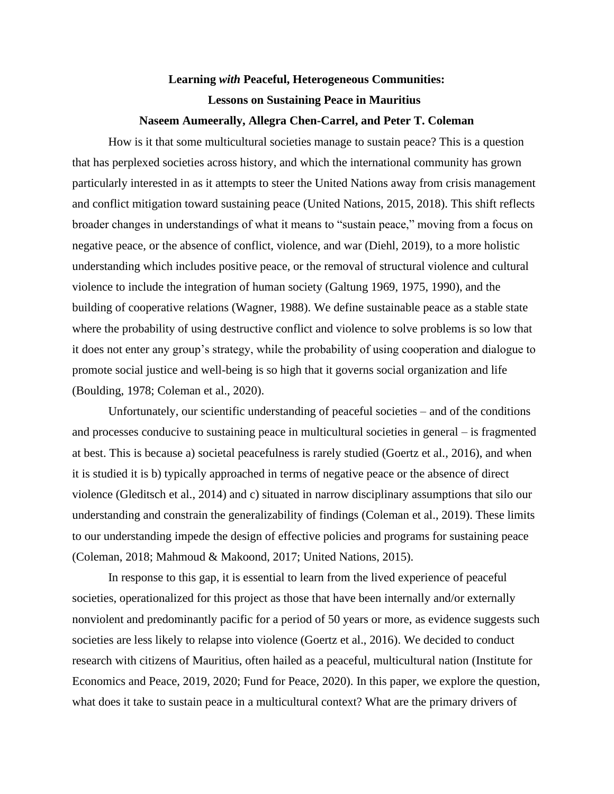# **Learning** *with* **Peaceful, Heterogeneous Communities: Lessons on Sustaining Peace in Mauritius**

# **Naseem Aumeerally, Allegra Chen-Carrel, and Peter T. Coleman**

How is it that some multicultural societies manage to sustain peace? This is a question that has perplexed societies across history, and which the international community has grown particularly interested in as it attempts to steer the United Nations away from crisis management and conflict mitigation toward sustaining peace (United Nations, 2015, 2018). This shift reflects broader changes in understandings of what it means to "sustain peace," moving from a focus on negative peace, or the absence of conflict, violence, and war (Diehl, 2019), to a more holistic understanding which includes positive peace, or the removal of structural violence and cultural violence to include the integration of human society (Galtung 1969, 1975, 1990), and the building of cooperative relations (Wagner, 1988). We define sustainable peace as a stable state where the probability of using destructive conflict and violence to solve problems is so low that it does not enter any group's strategy, while the probability of using cooperation and dialogue to promote social justice and well-being is so high that it governs social organization and life (Boulding, 1978; Coleman et al., 2020).

Unfortunately, our scientific understanding of peaceful societies – and of the conditions and processes conducive to sustaining peace in multicultural societies in general – is fragmented at best. This is because a) societal peacefulness is rarely studied (Goertz et al., 2016), and when it is studied it is b) typically approached in terms of negative peace or the absence of direct violence (Gleditsch et al., 2014) and c) situated in narrow disciplinary assumptions that silo our understanding and constrain the generalizability of findings (Coleman et al., 2019). These limits to our understanding impede the design of effective policies and programs for sustaining peace (Coleman, 2018; Mahmoud & Makoond, 2017; United Nations, 2015).

In response to this gap, it is essential to learn from the lived experience of peaceful societies, operationalized for this project as those that have been internally and/or externally nonviolent and predominantly pacific for a period of 50 years or more, as evidence suggests such societies are less likely to relapse into violence (Goertz et al., 2016). We decided to conduct research with citizens of Mauritius, often hailed as a peaceful, multicultural nation (Institute for Economics and Peace, 2019, 2020; Fund for Peace, 2020). In this paper, we explore the question, what does it take to sustain peace in a multicultural context? What are the primary drivers of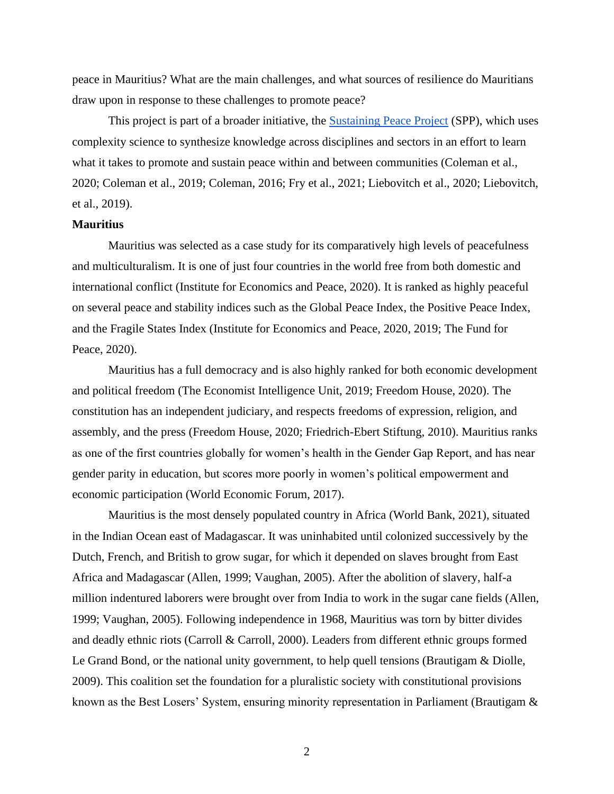peace in Mauritius? What are the main challenges, and what sources of resilience do Mauritians draw upon in response to these challenges to promote peace?

This project is part of a broader initiative, the [Sustaining Peace Project](https://sustainingpeaceproject.com/) (SPP), which uses complexity science to synthesize knowledge across disciplines and sectors in an effort to learn what it takes to promote and sustain peace within and between communities (Coleman et al., 2020; Coleman et al., 2019; Coleman, 2016; Fry et al., 2021; Liebovitch et al., 2020; Liebovitch, et al., 2019).

#### **Mauritius**

Mauritius was selected as a case study for its comparatively high levels of peacefulness and multiculturalism. It is one of just four countries in the world free from both domestic and international conflict (Institute for Economics and Peace, 2020). It is ranked as highly peaceful on several peace and stability indices such as the Global Peace Index, the Positive Peace Index, and the Fragile States Index (Institute for Economics and Peace, 2020, 2019; The Fund for Peace, 2020).

Mauritius has a full democracy and is also highly ranked for both economic development and political freedom (The Economist Intelligence Unit, 2019; Freedom House, 2020). The constitution has an independent judiciary, and respects freedoms of expression, religion, and assembly, and the press (Freedom House, 2020; Friedrich-Ebert Stiftung, 2010). Mauritius ranks as one of the first countries globally for women's health in the Gender Gap Report, and has near gender parity in education, but scores more poorly in women's political empowerment and economic participation (World Economic Forum, 2017).

Mauritius is the most densely populated country in Africa (World Bank, 2021), situated in the Indian Ocean east of Madagascar. It was uninhabited until colonized successively by the Dutch, French, and British to grow sugar, for which it depended on slaves brought from East Africa and Madagascar (Allen, 1999; Vaughan, 2005). After the abolition of slavery, half-a million indentured laborers were brought over from India to work in the sugar cane fields (Allen, 1999; Vaughan, 2005). Following independence in 1968, Mauritius was torn by bitter divides and deadly ethnic riots (Carroll & Carroll, 2000). Leaders from different ethnic groups formed Le Grand Bond, or the national unity government, to help quell tensions (Brautigam & Diolle, 2009). This coalition set the foundation for a pluralistic society with constitutional provisions known as the Best Losers' System, ensuring minority representation in Parliament (Brautigam &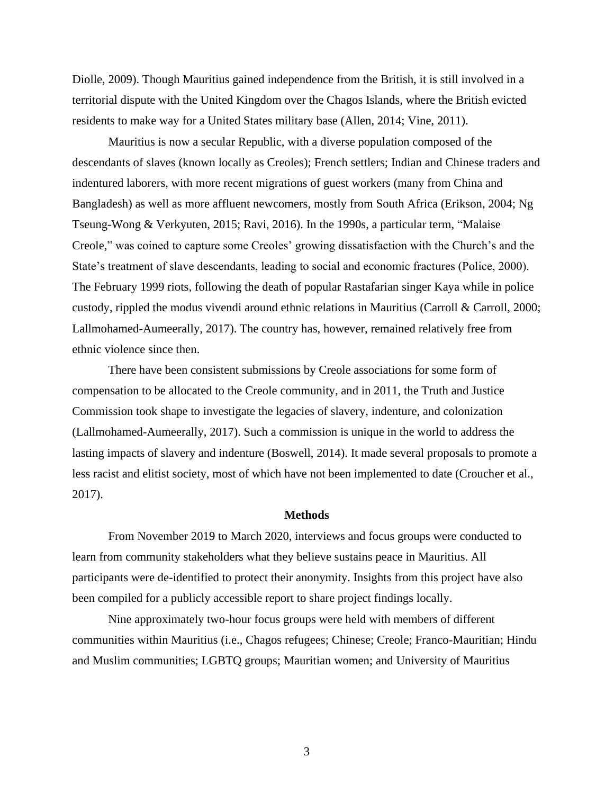Diolle, 2009). Though Mauritius gained independence from the British, it is still involved in a territorial dispute with the United Kingdom over the Chagos Islands, where the British evicted residents to make way for a United States military base (Allen, 2014; Vine, 2011).

Mauritius is now a secular Republic, with a diverse population composed of the descendants of slaves (known locally as Creoles); French settlers; Indian and Chinese traders and indentured laborers, with more recent migrations of guest workers (many from China and Bangladesh) as well as more affluent newcomers, mostly from South Africa (Erikson, 2004; Ng Tseung-Wong & Verkyuten, 2015; Ravi, 2016). In the 1990s, a particular term, "Malaise Creole," was coined to capture some Creoles' growing dissatisfaction with the Church's and the State's treatment of slave descendants, leading to social and economic fractures (Police, 2000). The February 1999 riots, following the death of popular Rastafarian singer Kaya while in police custody, rippled the modus vivendi around ethnic relations in Mauritius (Carroll & Carroll, 2000; Lallmohamed-Aumeerally, 2017). The country has, however, remained relatively free from ethnic violence since then.

There have been consistent submissions by Creole associations for some form of compensation to be allocated to the Creole community, and in 2011, the Truth and Justice Commission took shape to investigate the legacies of slavery, indenture, and colonization (Lallmohamed-Aumeerally, 2017). Such a commission is unique in the world to address the lasting impacts of slavery and indenture (Boswell, 2014). It made several proposals to promote a less racist and elitist society, most of which have not been implemented to date (Croucher et al., 2017).

## **Methods**

From November 2019 to March 2020, interviews and focus groups were conducted to learn from community stakeholders what they believe sustains peace in Mauritius. All participants were de-identified to protect their anonymity. Insights from this project have also been compiled for a publicly accessible report to share project findings locally.

Nine approximately two-hour focus groups were held with members of different communities within Mauritius (i.e., Chagos refugees; Chinese; Creole; Franco-Mauritian; Hindu and Muslim communities; LGBTQ groups; Mauritian women; and University of Mauritius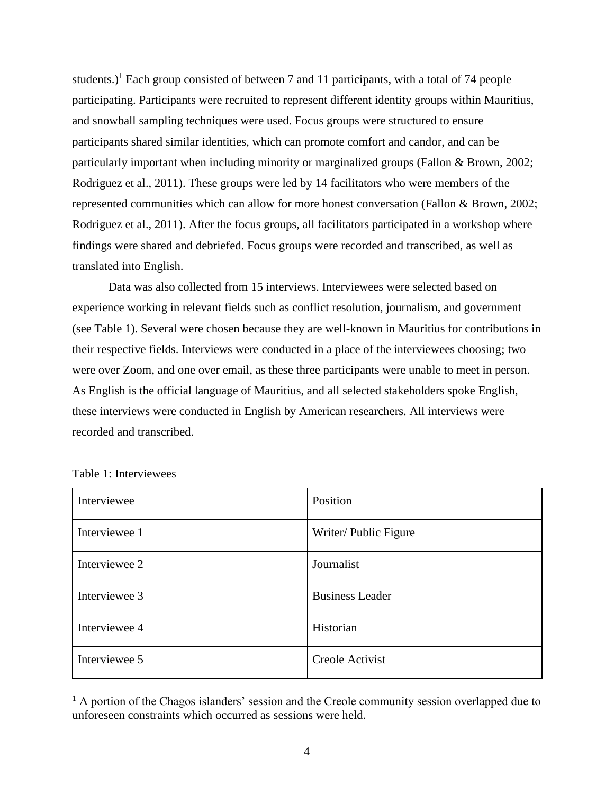students.)<sup>1</sup> Each group consisted of between 7 and 11 participants, with a total of 74 people participating. Participants were recruited to represent different identity groups within Mauritius, and snowball sampling techniques were used. Focus groups were structured to ensure participants shared similar identities, which can promote comfort and candor, and can be particularly important when including minority or marginalized groups (Fallon & Brown, 2002; Rodriguez et al., 2011). These groups were led by 14 facilitators who were members of the represented communities which can allow for more honest conversation (Fallon & Brown, 2002; Rodriguez et al., 2011). After the focus groups, all facilitators participated in a workshop where findings were shared and debriefed. Focus groups were recorded and transcribed, as well as translated into English.

Data was also collected from 15 interviews. Interviewees were selected based on experience working in relevant fields such as conflict resolution, journalism, and government (see Table 1). Several were chosen because they are well-known in Mauritius for contributions in their respective fields. Interviews were conducted in a place of the interviewees choosing; two were over Zoom, and one over email, as these three participants were unable to meet in person. As English is the official language of Mauritius, and all selected stakeholders spoke English, these interviews were conducted in English by American researchers. All interviews were recorded and transcribed.

| Interviewee   | Position               |
|---------------|------------------------|
| Interviewee 1 | Writer/ Public Figure  |
| Interviewee 2 | Journalist             |
| Interviewee 3 | <b>Business Leader</b> |
| Interviewee 4 | Historian              |
| Interviewee 5 | Creole Activist        |

Table 1: Interviewees

 $<sup>1</sup>$  A portion of the Chagos islanders' session and the Creole community session overlapped due to</sup> unforeseen constraints which occurred as sessions were held.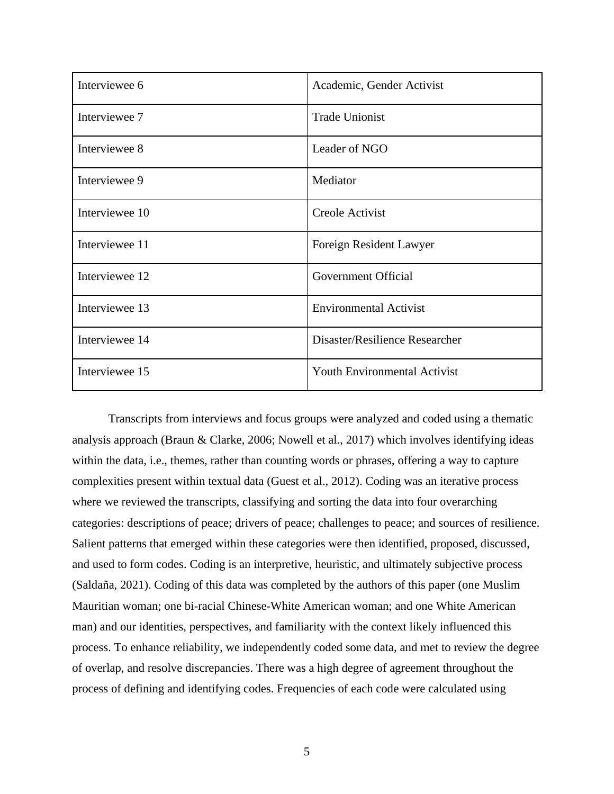| Interviewee 6  | Academic, Gender Activist           |  |
|----------------|-------------------------------------|--|
| Interviewee 7  | <b>Trade Unionist</b>               |  |
| Interviewee 8  | Leader of NGO                       |  |
| Interviewee 9  | Mediator                            |  |
| Interviewee 10 | Creole Activist                     |  |
| Interviewee 11 | Foreign Resident Lawyer             |  |
| Interviewee 12 | Government Official                 |  |
| Interviewee 13 | <b>Environmental Activist</b>       |  |
| Interviewee 14 | Disaster/Resilience Researcher      |  |
| Interviewee 15 | <b>Youth Environmental Activist</b> |  |

Transcripts from interviews and focus groups were analyzed and coded using a thematic analysis approach (Braun & Clarke, 2006; Nowell et al., 2017) which involves identifying ideas within the data, i.e., themes, rather than counting words or phrases, offering a way to capture complexities present within textual data (Guest et al., 2012). Coding was an iterative process where we reviewed the transcripts, classifying and sorting the data into four overarching categories: descriptions of peace; drivers of peace; challenges to peace; and sources of resilience. Salient patterns that emerged within these categories were then identified, proposed, discussed, and used to form codes. Coding is an interpretive, heuristic, and ultimately subjective process (Saldaña, 2021). Coding of this data was completed by the authors of this paper (one Muslim Mauritian woman; one bi-racial Chinese-White American woman; and one White American man) and our identities, perspectives, and familiarity with the context likely influenced this process. To enhance reliability, we independently coded some data, and met to review the degree of overlap, and resolve discrepancies. There was a high degree of agreement throughout the process of defining and identifying codes. Frequencies of each code were calculated using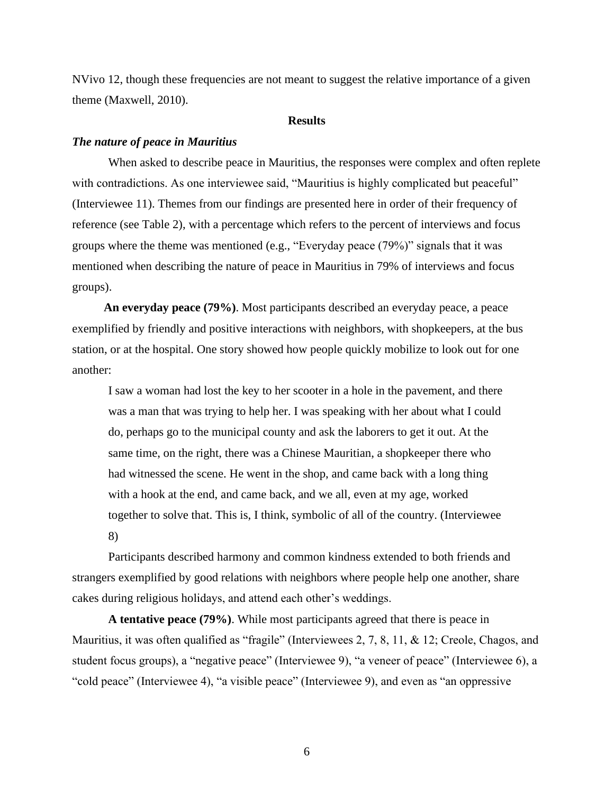NVivo 12, though these frequencies are not meant to suggest the relative importance of a given theme (Maxwell, 2010).

#### **Results**

#### *The nature of peace in Mauritius*

When asked to describe peace in Mauritius, the responses were complex and often replete with contradictions. As one interviewee said, "Mauritius is highly complicated but peaceful" (Interviewee 11). Themes from our findings are presented here in order of their frequency of reference (see Table 2), with a percentage which refers to the percent of interviews and focus groups where the theme was mentioned (e.g., "Everyday peace (79%)" signals that it was mentioned when describing the nature of peace in Mauritius in 79% of interviews and focus groups).

**An everyday peace (79%)**. Most participants described an everyday peace, a peace exemplified by friendly and positive interactions with neighbors, with shopkeepers, at the bus station, or at the hospital. One story showed how people quickly mobilize to look out for one another:

I saw a woman had lost the key to her scooter in a hole in the pavement, and there was a man that was trying to help her. I was speaking with her about what I could do, perhaps go to the municipal county and ask the laborers to get it out. At the same time, on the right, there was a Chinese Mauritian, a shopkeeper there who had witnessed the scene. He went in the shop, and came back with a long thing with a hook at the end, and came back, and we all, even at my age, worked together to solve that. This is, I think, symbolic of all of the country. (Interviewee 8)

Participants described harmony and common kindness extended to both friends and strangers exemplified by good relations with neighbors where people help one another, share cakes during religious holidays, and attend each other's weddings.

**A tentative peace (79%)**. While most participants agreed that there is peace in Mauritius, it was often qualified as "fragile" (Interviewees 2, 7, 8, 11, & 12; Creole, Chagos, and student focus groups), a "negative peace" (Interviewee 9), "a veneer of peace" (Interviewee 6), a "cold peace" (Interviewee 4), "a visible peace" (Interviewee 9), and even as "an oppressive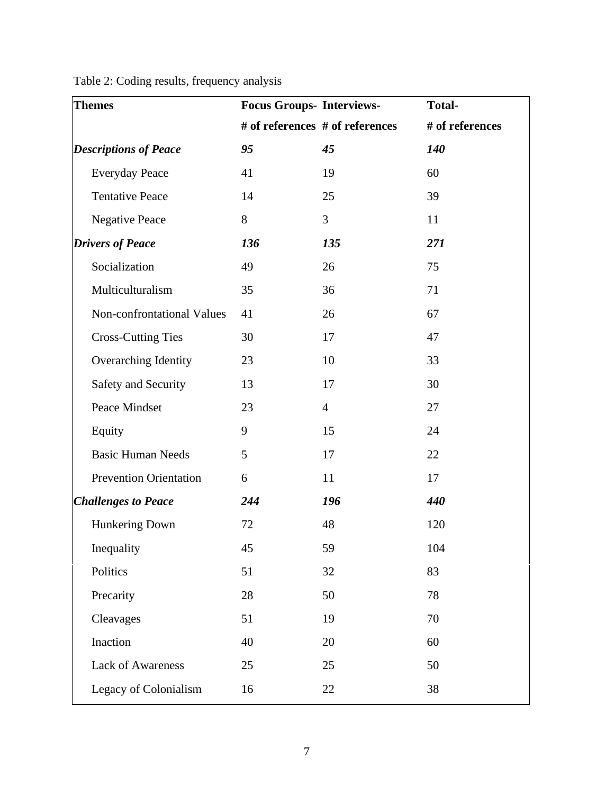| <b>Themes</b>                 | <b>Focus Groups- Interviews-</b> |                                 | <b>Total-</b>   |
|-------------------------------|----------------------------------|---------------------------------|-----------------|
|                               |                                  | # of references # of references | # of references |
| <b>Descriptions of Peace</b>  | 95                               | 45                              | 140             |
| <b>Everyday Peace</b>         | 41                               | 19                              | 60              |
| <b>Tentative Peace</b>        | 14                               | 25                              | 39              |
| <b>Negative Peace</b>         | 8                                | 3                               | 11              |
| <b>Drivers of Peace</b>       | 136                              | 135                             | 271             |
| Socialization                 | 49                               | 26                              | 75              |
| Multiculturalism              | 35                               | 36                              | 71              |
| Non-confrontational Values    | 41                               | 26                              | 67              |
| <b>Cross-Cutting Ties</b>     | 30                               | 17                              | 47              |
| Overarching Identity          | 23                               | 10                              | 33              |
| Safety and Security           | 13                               | 17                              | 30              |
| Peace Mindset                 | 23                               | $\overline{4}$                  | 27              |
| Equity                        | 9                                | 15                              | 24              |
| <b>Basic Human Needs</b>      | 5                                | 17                              | 22              |
| <b>Prevention Orientation</b> | 6                                | 11                              | 17              |
| <b>Challenges to Peace</b>    | 244                              | 196                             | 440             |
| Hunkering Down                | 72                               | 48                              | 120             |
| Inequality                    | 45                               | 59                              | 104             |
| Politics                      | 51                               | 32                              | 83              |
| Precarity                     | 28                               | 50                              | 78              |
| Cleavages                     | 51                               | 19                              | 70              |
| Inaction                      | 40                               | 20                              | 60              |
| <b>Lack of Awareness</b>      | 25                               | 25                              | 50              |
| Legacy of Colonialism         | 16                               | $22\,$                          | 38              |

Table 2: Coding results, frequency analysis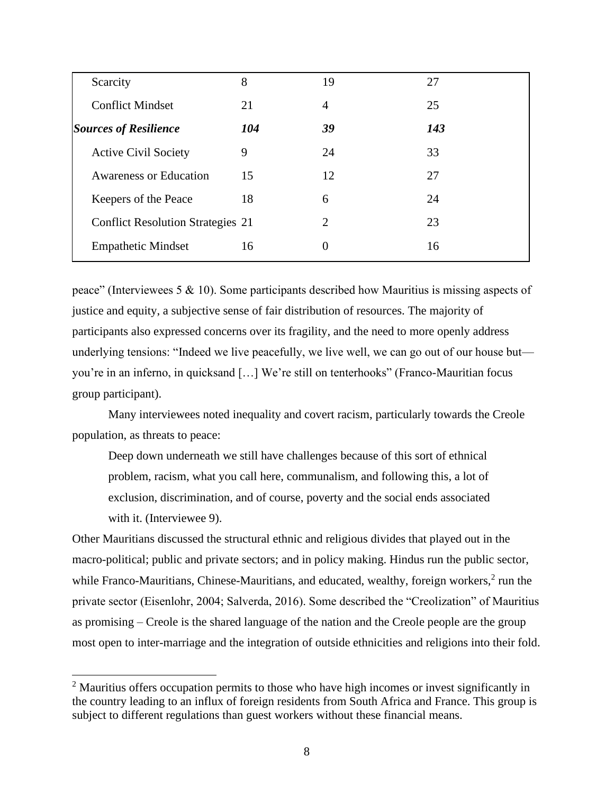| Scarcity                                 | 8   | 19 | 27  |
|------------------------------------------|-----|----|-----|
| <b>Conflict Mindset</b>                  | 21  | 4  | 25  |
| <b>Sources of Resilience</b>             | 104 | 39 | 143 |
| <b>Active Civil Society</b>              | 9   | 24 | 33  |
| <b>Awareness or Education</b>            | 15  | 12 | 27  |
| Keepers of the Peace                     | 18  | 6  | 24  |
| <b>Conflict Resolution Strategies 21</b> |     | 2  | 23  |
| <b>Empathetic Mindset</b>                | 16  | 0  | 16  |

peace" (Interviewees 5 & 10). Some participants described how Mauritius is missing aspects of justice and equity, a subjective sense of fair distribution of resources. The majority of participants also expressed concerns over its fragility, and the need to more openly address underlying tensions: "Indeed we live peacefully, we live well, we can go out of our house but you're in an inferno, in quicksand […] We're still on tenterhooks" (Franco-Mauritian focus group participant).

Many interviewees noted inequality and covert racism, particularly towards the Creole population, as threats to peace:

Deep down underneath we still have challenges because of this sort of ethnical problem, racism, what you call here, communalism, and following this, a lot of exclusion, discrimination, and of course, poverty and the social ends associated with it. (Interviewee 9).

Other Mauritians discussed the structural ethnic and religious divides that played out in the macro-political; public and private sectors; and in policy making. Hindus run the public sector, while Franco-Mauritians, Chinese-Mauritians, and educated, wealthy, foreign workers, $2$  run the private sector (Eisenlohr, 2004; Salverda, 2016). Some described the "Creolization" of Mauritius as promising – Creole is the shared language of the nation and the Creole people are the group most open to inter-marriage and the integration of outside ethnicities and religions into their fold.

 $2$  Mauritius offers occupation permits to those who have high incomes or invest significantly in the country leading to an influx of foreign residents from South Africa and France. This group is subject to different regulations than guest workers without these financial means.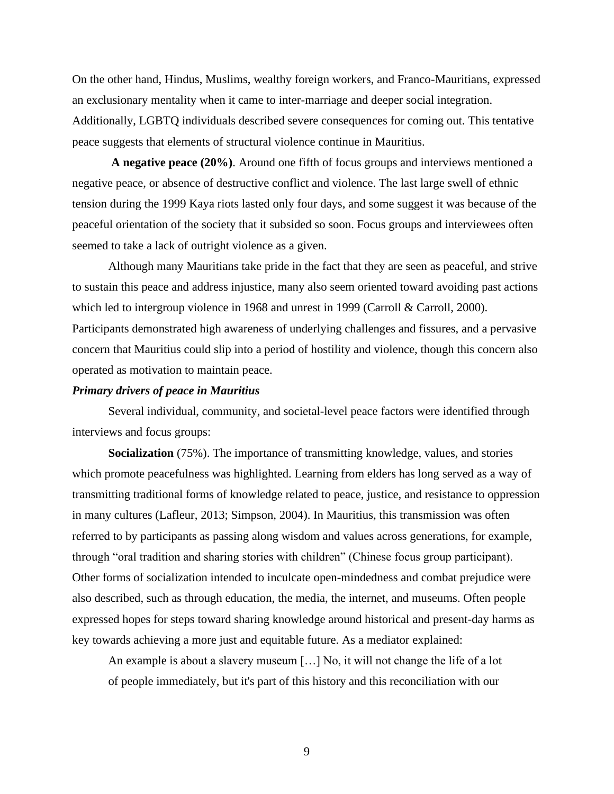On the other hand, Hindus, Muslims, wealthy foreign workers, and Franco-Mauritians, expressed an exclusionary mentality when it came to inter-marriage and deeper social integration. Additionally, LGBTQ individuals described severe consequences for coming out. This tentative peace suggests that elements of structural violence continue in Mauritius.

**A negative peace (20%)**. Around one fifth of focus groups and interviews mentioned a negative peace, or absence of destructive conflict and violence. The last large swell of ethnic tension during the 1999 Kaya riots lasted only four days, and some suggest it was because of the peaceful orientation of the society that it subsided so soon. Focus groups and interviewees often seemed to take a lack of outright violence as a given.

Although many Mauritians take pride in the fact that they are seen as peaceful, and strive to sustain this peace and address injustice, many also seem oriented toward avoiding past actions which led to intergroup violence in 1968 and unrest in 1999 (Carroll & Carroll, 2000). Participants demonstrated high awareness of underlying challenges and fissures, and a pervasive concern that Mauritius could slip into a period of hostility and violence, though this concern also operated as motivation to maintain peace.

#### *Primary drivers of peace in Mauritius*

Several individual, community, and societal-level peace factors were identified through interviews and focus groups:

**Socialization** (75%). The importance of transmitting knowledge, values, and stories which promote peacefulness was highlighted. Learning from elders has long served as a way of transmitting traditional forms of knowledge related to peace, justice, and resistance to oppression in many cultures (Lafleur, 2013; Simpson, 2004). In Mauritius, this transmission was often referred to by participants as passing along wisdom and values across generations, for example, through "oral tradition and sharing stories with children" (Chinese focus group participant). Other forms of socialization intended to inculcate open-mindedness and combat prejudice were also described, such as through education, the media, the internet, and museums. Often people expressed hopes for steps toward sharing knowledge around historical and present-day harms as key towards achieving a more just and equitable future. As a mediator explained:

An example is about a slavery museum […] No, it will not change the life of a lot of people immediately, but it's part of this history and this reconciliation with our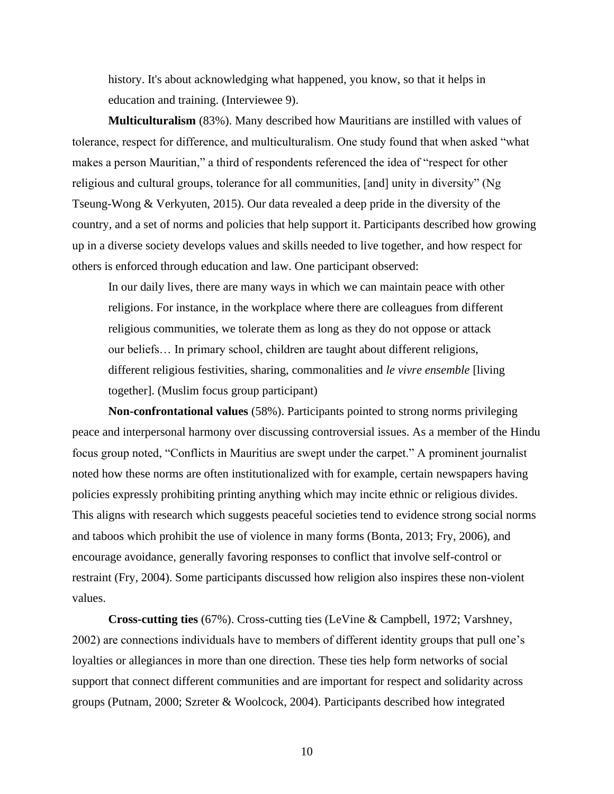history. It's about acknowledging what happened, you know, so that it helps in education and training. (Interviewee 9).

**Multiculturalism** (83%). Many described how Mauritians are instilled with values of tolerance, respect for difference, and multiculturalism. One study found that when asked "what makes a person Mauritian," a third of respondents referenced the idea of "respect for other religious and cultural groups, tolerance for all communities, [and] unity in diversity" (Ng Tseung-Wong & Verkyuten, 2015). Our data revealed a deep pride in the diversity of the country, and a set of norms and policies that help support it. Participants described how growing up in a diverse society develops values and skills needed to live together, and how respect for others is enforced through education and law. One participant observed:

In our daily lives, there are many ways in which we can maintain peace with other religions. For instance, in the workplace where there are colleagues from different religious communities, we tolerate them as long as they do not oppose or attack our beliefs… In primary school, children are taught about different religions, different religious festivities, sharing, commonalities and *le vivre ensemble* [living together]. (Muslim focus group participant)

**Non-confrontational values** (58%). Participants pointed to strong norms privileging peace and interpersonal harmony over discussing controversial issues. As a member of the Hindu focus group noted, "Conflicts in Mauritius are swept under the carpet." A prominent journalist noted how these norms are often institutionalized with for example, certain newspapers having policies expressly prohibiting printing anything which may incite ethnic or religious divides. This aligns with research which suggests peaceful societies tend to evidence strong social norms and taboos which prohibit the use of violence in many forms (Bonta, 2013; Fry, 2006), and encourage avoidance, generally favoring responses to conflict that involve self-control or restraint (Fry, 2004). Some participants discussed how religion also inspires these non-violent values.

**Cross-cutting ties** (67%). Cross-cutting ties (LeVine & Campbell, 1972; Varshney, 2002) are connections individuals have to members of different identity groups that pull one's loyalties or allegiances in more than one direction. These ties help form networks of social support that connect different communities and are important for respect and solidarity across groups (Putnam, 2000; Szreter & Woolcock, 2004). Participants described how integrated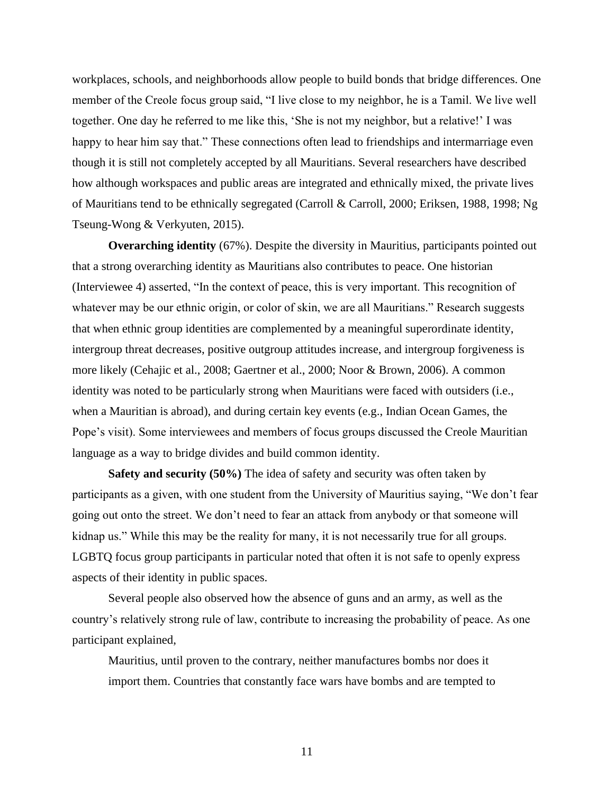workplaces, schools, and neighborhoods allow people to build bonds that bridge differences. One member of the Creole focus group said, "I live close to my neighbor, he is a Tamil. We live well together. One day he referred to me like this, 'She is not my neighbor, but a relative!' I was happy to hear him say that." These connections often lead to friendships and intermarriage even though it is still not completely accepted by all Mauritians. Several researchers have described how although workspaces and public areas are integrated and ethnically mixed, the private lives of Mauritians tend to be ethnically segregated (Carroll & Carroll, 2000; Eriksen, 1988, 1998; Ng Tseung-Wong & Verkyuten, 2015).

**Overarching identity** (67%). Despite the diversity in Mauritius, participants pointed out that a strong overarching identity as Mauritians also contributes to peace. One historian (Interviewee 4) asserted, "In the context of peace, this is very important. This recognition of whatever may be our ethnic origin, or color of skin, we are all Mauritians." Research suggests that when ethnic group identities are complemented by a meaningful superordinate identity, intergroup threat decreases, positive outgroup attitudes increase, and intergroup forgiveness is more likely (Cehajic et al., 2008; Gaertner et al., 2000; Noor & Brown, 2006). A common identity was noted to be particularly strong when Mauritians were faced with outsiders (i.e., when a Mauritian is abroad), and during certain key events (e.g., Indian Ocean Games, the Pope's visit). Some interviewees and members of focus groups discussed the Creole Mauritian language as a way to bridge divides and build common identity.

**Safety and security (50%)** The idea of safety and security was often taken by participants as a given, with one student from the University of Mauritius saying, "We don't fear going out onto the street. We don't need to fear an attack from anybody or that someone will kidnap us." While this may be the reality for many, it is not necessarily true for all groups. LGBTQ focus group participants in particular noted that often it is not safe to openly express aspects of their identity in public spaces.

Several people also observed how the absence of guns and an army, as well as the country's relatively strong rule of law, contribute to increasing the probability of peace. As one participant explained,

Mauritius, until proven to the contrary, neither manufactures bombs nor does it import them. Countries that constantly face wars have bombs and are tempted to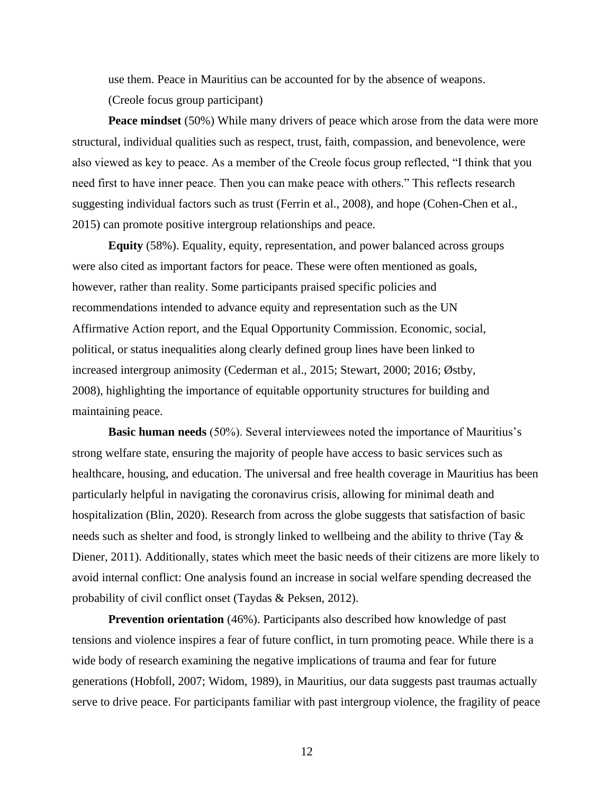use them. Peace in Mauritius can be accounted for by the absence of weapons. (Creole focus group participant)

**Peace mindset** (50%) While many drivers of peace which arose from the data were more structural, individual qualities such as respect, trust, faith, compassion, and benevolence, were also viewed as key to peace. As a member of the Creole focus group reflected, "I think that you need first to have inner peace. Then you can make peace with others." This reflects research suggesting individual factors such as trust (Ferrin et al., 2008), and hope (Cohen-Chen et al., 2015) can promote positive intergroup relationships and peace.

**Equity** (58%). Equality, equity, representation, and power balanced across groups were also cited as important factors for peace. These were often mentioned as goals, however, rather than reality. Some participants praised specific policies and recommendations intended to advance equity and representation such as the UN Affirmative Action report, and the Equal Opportunity Commission. Economic, social, political, or status inequalities along clearly defined group lines have been linked to increased intergroup animosity (Cederman et al., 2015; Stewart, 2000; 2016; Østby, 2008), highlighting the importance of equitable opportunity structures for building and maintaining peace.

**Basic human needs** (50%). Several interviewees noted the importance of Mauritius's strong welfare state, ensuring the majority of people have access to basic services such as healthcare, housing, and education. The universal and free health coverage in Mauritius has been particularly helpful in navigating the coronavirus crisis, allowing for minimal death and hospitalization (Blin, 2020). Research from across the globe suggests that satisfaction of basic needs such as shelter and food, is strongly linked to wellbeing and the ability to thrive (Tay & Diener, 2011). Additionally, states which meet the basic needs of their citizens are more likely to avoid internal conflict: One analysis found an increase in social welfare spending decreased the probability of civil conflict onset (Taydas & Peksen, 2012).

**Prevention orientation** (46%). Participants also described how knowledge of past tensions and violence inspires a fear of future conflict, in turn promoting peace. While there is a wide body of research examining the negative implications of trauma and fear for future generations (Hobfoll, 2007; Widom, 1989), in Mauritius, our data suggests past traumas actually serve to drive peace. For participants familiar with past intergroup violence, the fragility of peace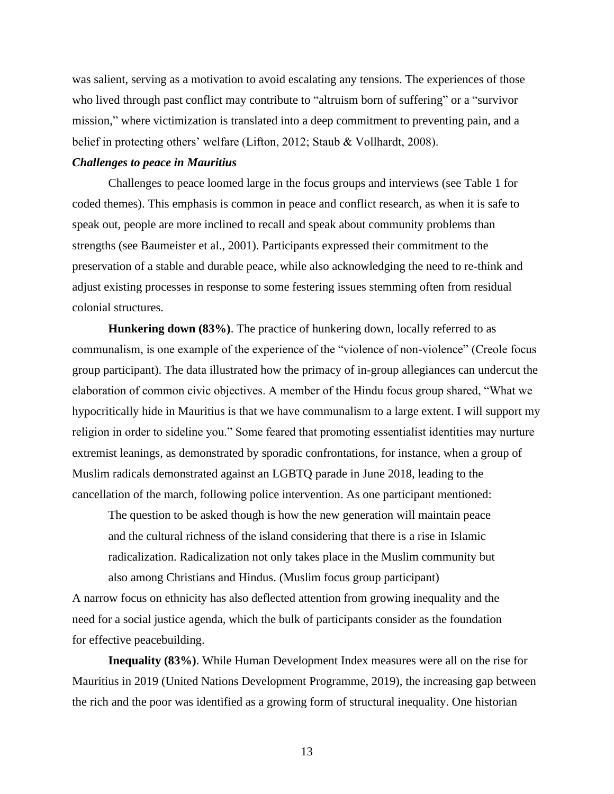was salient, serving as a motivation to avoid escalating any tensions. The experiences of those who lived through past conflict may contribute to "altruism born of suffering" or a "survivor mission," where victimization is translated into a deep commitment to preventing pain, and a belief in protecting others' welfare (Lifton, 2012; Staub & Vollhardt, 2008).

### *Challenges to peace in Mauritius*

Challenges to peace loomed large in the focus groups and interviews (see Table 1 for coded themes). This emphasis is common in peace and conflict research, as when it is safe to speak out, people are more inclined to recall and speak about community problems than strengths (see Baumeister et al., 2001). Participants expressed their commitment to the preservation of a stable and durable peace, while also acknowledging the need to re-think and adjust existing processes in response to some festering issues stemming often from residual colonial structures.

**Hunkering down (83%)**. The practice of hunkering down, locally referred to as communalism, is one example of the experience of the "violence of non-violence" (Creole focus group participant). The data illustrated how the primacy of in-group allegiances can undercut the elaboration of common civic objectives. A member of the Hindu focus group shared, "What we hypocritically hide in Mauritius is that we have communalism to a large extent. I will support my religion in order to sideline you." Some feared that promoting essentialist identities may nurture extremist leanings, as demonstrated by sporadic confrontations, for instance, when a group of Muslim radicals demonstrated against an LGBTQ parade in June 2018, leading to the cancellation of the march, following police intervention. As one participant mentioned:

The question to be asked though is how the new generation will maintain peace and the cultural richness of the island considering that there is a rise in Islamic radicalization. Radicalization not only takes place in the Muslim community but also among Christians and Hindus. (Muslim focus group participant)

A narrow focus on ethnicity has also deflected attention from growing inequality and the need for a social justice agenda, which the bulk of participants consider as the foundation for effective peacebuilding.

**Inequality (83%)**. While Human Development Index measures were all on the rise for Mauritius in 2019 (United Nations Development Programme, 2019), the increasing gap between the rich and the poor was identified as a growing form of structural inequality. One historian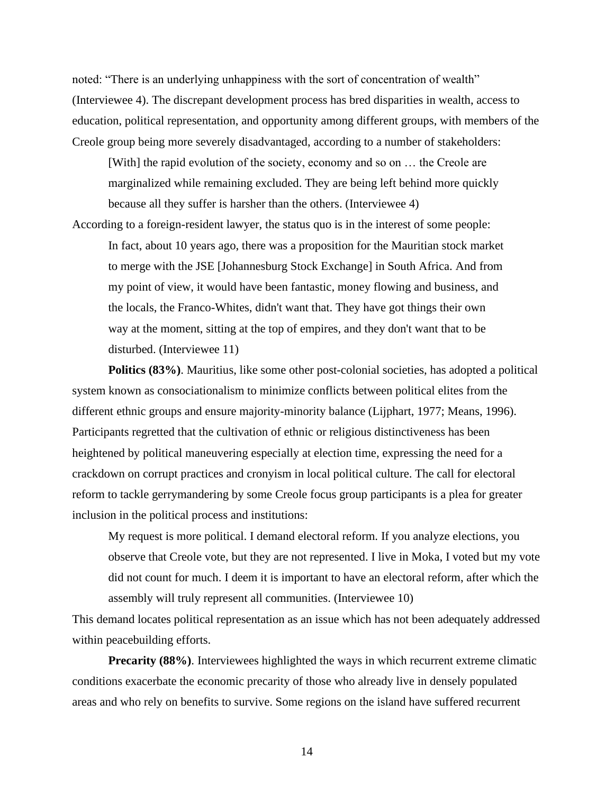noted: "There is an underlying unhappiness with the sort of concentration of wealth" (Interviewee 4). The discrepant development process has bred disparities in wealth, access to education, political representation, and opportunity among different groups, with members of the Creole group being more severely disadvantaged, according to a number of stakeholders:

[With] the rapid evolution of the society, economy and so on ... the Creole are marginalized while remaining excluded. They are being left behind more quickly because all they suffer is harsher than the others. (Interviewee 4)

According to a foreign-resident lawyer, the status quo is in the interest of some people: In fact, about 10 years ago, there was a proposition for the Mauritian stock market to merge with the JSE [Johannesburg Stock Exchange] in South Africa. And from my point of view, it would have been fantastic, money flowing and business, and the locals, the Franco-Whites, didn't want that. They have got things their own way at the moment, sitting at the top of empires, and they don't want that to be disturbed. (Interviewee 11)

**Politics (83%)**. Mauritius, like some other post-colonial societies, has adopted a political system known as consociationalism to minimize conflicts between political elites from the different ethnic groups and ensure majority-minority balance (Lijphart, 1977; Means, 1996). Participants regretted that the cultivation of ethnic or religious distinctiveness has been heightened by political maneuvering especially at election time, expressing the need for a crackdown on corrupt practices and cronyism in local political culture. The call for electoral reform to tackle gerrymandering by some Creole focus group participants is a plea for greater inclusion in the political process and institutions:

My request is more political. I demand electoral reform. If you analyze elections, you observe that Creole vote, but they are not represented. I live in Moka, I voted but my vote did not count for much. I deem it is important to have an electoral reform, after which the assembly will truly represent all communities. (Interviewee 10)

This demand locates political representation as an issue which has not been adequately addressed within peacebuilding efforts.

**Precarity (88%)**. Interviewees highlighted the ways in which recurrent extreme climatic conditions exacerbate the economic precarity of those who already live in densely populated areas and who rely on benefits to survive. Some regions on the island have suffered recurrent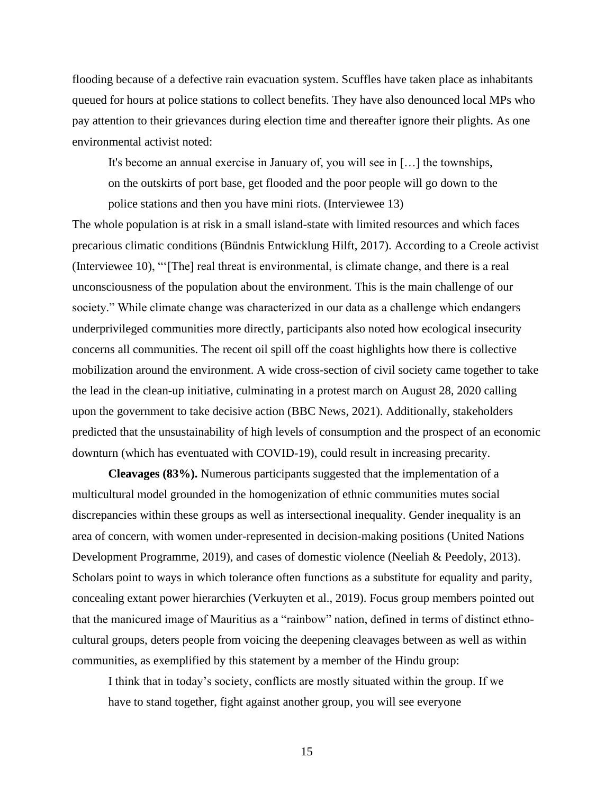flooding because of a defective rain evacuation system. Scuffles have taken place as inhabitants queued for hours at police stations to collect benefits. They have also denounced local MPs who pay attention to their grievances during election time and thereafter ignore their plights. As one environmental activist noted:

It's become an annual exercise in January of, you will see in […] the townships, on the outskirts of port base, get flooded and the poor people will go down to the police stations and then you have mini riots. (Interviewee 13)

The whole population is at risk in a small island-state with limited resources and which faces precarious climatic conditions (Bündnis Entwicklung Hilft, 2017). According to a Creole activist (Interviewee 10), "'[The] real threat is environmental, is climate change, and there is a real unconsciousness of the population about the environment. This is the main challenge of our society." While climate change was characterized in our data as a challenge which endangers underprivileged communities more directly, participants also noted how ecological insecurity concerns all communities. The recent oil spill off the coast highlights how there is collective mobilization around the environment. A wide cross-section of civil society came together to take the lead in the clean-up initiative, culminating in a protest march on August 28, 2020 calling upon the government to take decisive action (BBC News, 2021). Additionally, stakeholders predicted that the unsustainability of high levels of consumption and the prospect of an economic downturn (which has eventuated with COVID-19), could result in increasing precarity.

**Cleavages (83%).** Numerous participants suggested that the implementation of a multicultural model grounded in the homogenization of ethnic communities mutes social discrepancies within these groups as well as intersectional inequality. Gender inequality is an area of concern, with women under-represented in decision-making positions (United Nations Development Programme, 2019), and cases of domestic violence (Neeliah & Peedoly, 2013). Scholars point to ways in which tolerance often functions as a substitute for equality and parity, concealing extant power hierarchies (Verkuyten et al., 2019). Focus group members pointed out that the manicured image of Mauritius as a "rainbow" nation, defined in terms of distinct ethnocultural groups, deters people from voicing the deepening cleavages between as well as within communities, as exemplified by this statement by a member of the Hindu group:

I think that in today's society, conflicts are mostly situated within the group. If we have to stand together, fight against another group, you will see everyone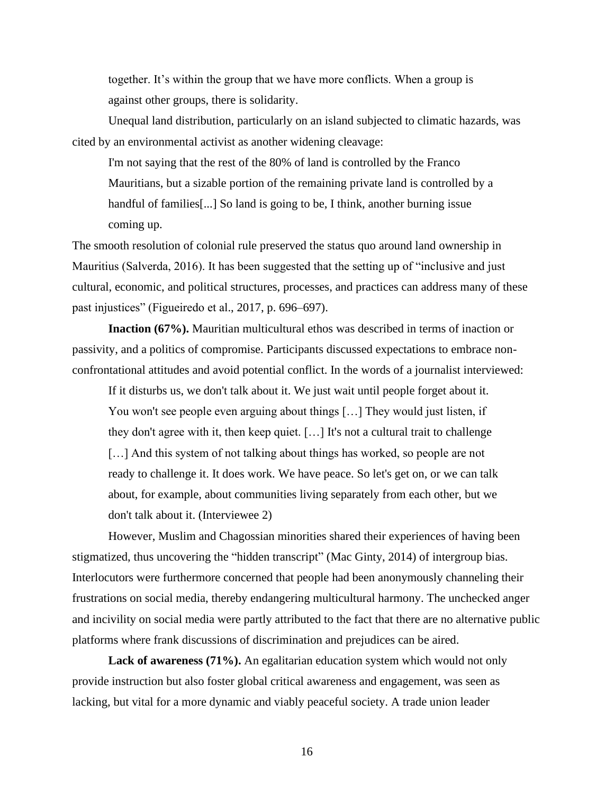together. It's within the group that we have more conflicts. When a group is against other groups, there is solidarity.

Unequal land distribution, particularly on an island subjected to climatic hazards, was cited by an environmental activist as another widening cleavage:

I'm not saying that the rest of the 80% of land is controlled by the Franco Mauritians, but a sizable portion of the remaining private land is controlled by a handful of families[...] So land is going to be, I think, another burning issue coming up.

The smooth resolution of colonial rule preserved the status quo around land ownership in Mauritius (Salverda, 2016). It has been suggested that the setting up of "inclusive and just cultural, economic, and political structures, processes, and practices can address many of these past injustices" (Figueiredo et al., 2017, p. 696–697).

**Inaction (67%).** Mauritian multicultural ethos was described in terms of inaction or passivity, and a politics of compromise. Participants discussed expectations to embrace nonconfrontational attitudes and avoid potential conflict. In the words of a journalist interviewed:

If it disturbs us, we don't talk about it. We just wait until people forget about it. You won't see people even arguing about things […] They would just listen, if they don't agree with it, then keep quiet. […] It's not a cultural trait to challenge [...] And this system of not talking about things has worked, so people are not ready to challenge it. It does work. We have peace. So let's get on, or we can talk about, for example, about communities living separately from each other, but we don't talk about it. (Interviewee 2)

However, Muslim and Chagossian minorities shared their experiences of having been stigmatized, thus uncovering the "hidden transcript" (Mac Ginty, 2014) of intergroup bias. Interlocutors were furthermore concerned that people had been anonymously channeling their frustrations on social media, thereby endangering multicultural harmony. The unchecked anger and incivility on social media were partly attributed to the fact that there are no alternative public platforms where frank discussions of discrimination and prejudices can be aired.

Lack of awareness (71%). An egalitarian education system which would not only provide instruction but also foster global critical awareness and engagement, was seen as lacking, but vital for a more dynamic and viably peaceful society. A trade union leader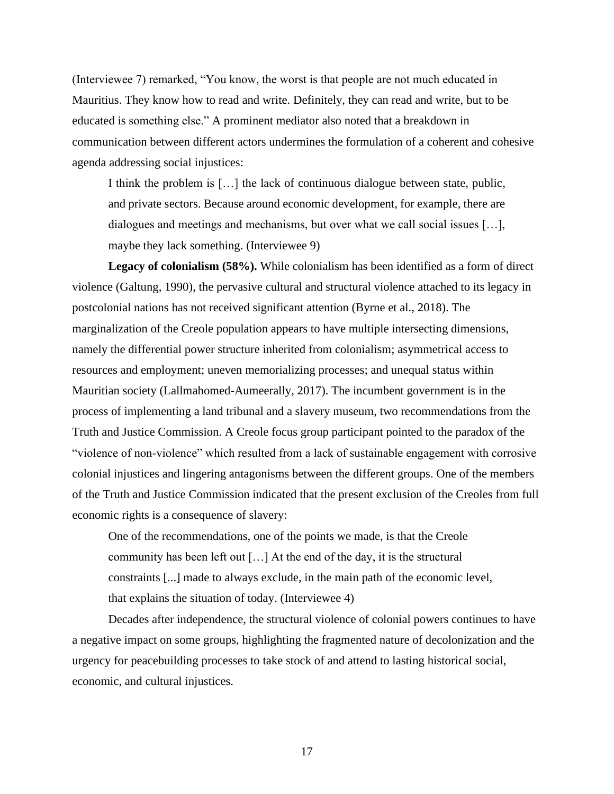(Interviewee 7) remarked, "You know, the worst is that people are not much educated in Mauritius. They know how to read and write. Definitely, they can read and write, but to be educated is something else." A prominent mediator also noted that a breakdown in communication between different actors undermines the formulation of a coherent and cohesive agenda addressing social injustices:

I think the problem is […] the lack of continuous dialogue between state, public, and private sectors. Because around economic development, for example, there are dialogues and meetings and mechanisms, but over what we call social issues […], maybe they lack something. (Interviewee 9)

**Legacy of colonialism (58%).** While colonialism has been identified as a form of direct violence (Galtung, 1990), the pervasive cultural and structural violence attached to its legacy in postcolonial nations has not received significant attention (Byrne et al., 2018). The marginalization of the Creole population appears to have multiple intersecting dimensions, namely the differential power structure inherited from colonialism; asymmetrical access to resources and employment; uneven memorializing processes; and unequal status within Mauritian society (Lallmahomed-Aumeerally, 2017). The incumbent government is in the process of implementing a land tribunal and a slavery museum, two recommendations from the Truth and Justice Commission. A Creole focus group participant pointed to the paradox of the "violence of non-violence" which resulted from a lack of sustainable engagement with corrosive colonial injustices and lingering antagonisms between the different groups. One of the members of the Truth and Justice Commission indicated that the present exclusion of the Creoles from full economic rights is a consequence of slavery:

One of the recommendations, one of the points we made, is that the Creole community has been left out […] At the end of the day, it is the structural constraints [...] made to always exclude, in the main path of the economic level, that explains the situation of today. (Interviewee 4)

Decades after independence, the structural violence of colonial powers continues to have a negative impact on some groups, highlighting the fragmented nature of decolonization and the urgency for peacebuilding processes to take stock of and attend to lasting historical social, economic, and cultural injustices.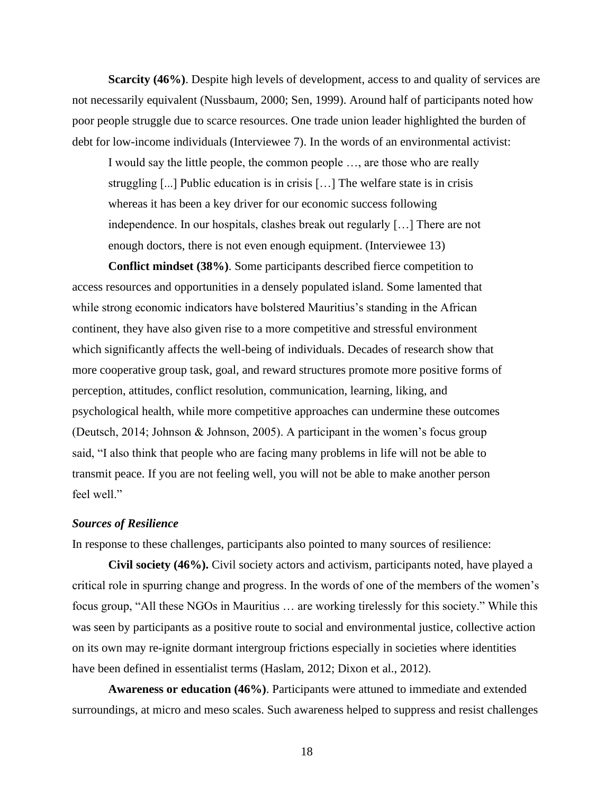**Scarcity (46%)**. Despite high levels of development, access to and quality of services are not necessarily equivalent (Nussbaum, 2000; Sen, 1999). Around half of participants noted how poor people struggle due to scarce resources. One trade union leader highlighted the burden of debt for low-income individuals (Interviewee 7). In the words of an environmental activist:

I would say the little people, the common people …, are those who are really struggling [...] Public education is in crisis […] The welfare state is in crisis whereas it has been a key driver for our economic success following independence. In our hospitals, clashes break out regularly […] There are not enough doctors, there is not even enough equipment. (Interviewee 13)

**Conflict mindset (38%)**. Some participants described fierce competition to access resources and opportunities in a densely populated island. Some lamented that while strong economic indicators have bolstered Mauritius's standing in the African continent, they have also given rise to a more competitive and stressful environment which significantly affects the well-being of individuals. Decades of research show that more cooperative group task, goal, and reward structures promote more positive forms of perception, attitudes, conflict resolution, communication, learning, liking, and psychological health, while more competitive approaches can undermine these outcomes (Deutsch, 2014; Johnson & Johnson, 2005). A participant in the women's focus group said, "I also think that people who are facing many problems in life will not be able to transmit peace. If you are not feeling well, you will not be able to make another person feel well."

#### *Sources of Resilience*

In response to these challenges, participants also pointed to many sources of resilience:

**Civil society (46%).** Civil society actors and activism, participants noted, have played a critical role in spurring change and progress. In the words of one of the members of the women's focus group, "All these NGOs in Mauritius … are working tirelessly for this society." While this was seen by participants as a positive route to social and environmental justice, collective action on its own may re-ignite dormant intergroup frictions especially in societies where identities have been defined in essentialist terms (Haslam, 2012; Dixon et al., 2012).

**Awareness or education (46%)**. Participants were attuned to immediate and extended surroundings, at micro and meso scales. Such awareness helped to suppress and resist challenges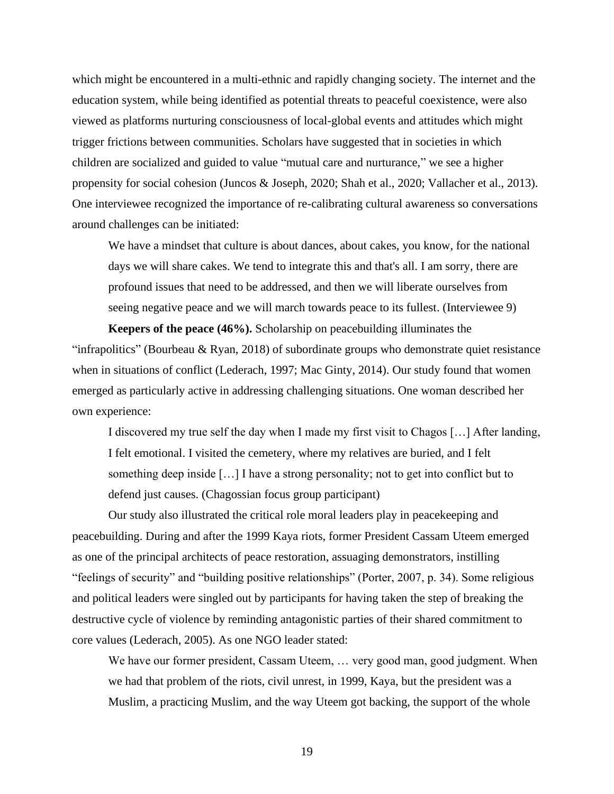which might be encountered in a multi-ethnic and rapidly changing society. The internet and the education system, while being identified as potential threats to peaceful coexistence, were also viewed as platforms nurturing consciousness of local-global events and attitudes which might trigger frictions between communities. Scholars have suggested that in societies in which children are socialized and guided to value "mutual care and nurturance," we see a higher propensity for social cohesion (Juncos & Joseph, 2020; Shah et al., 2020; Vallacher et al., 2013). One interviewee recognized the importance of re-calibrating cultural awareness so conversations around challenges can be initiated:

We have a mindset that culture is about dances, about cakes, you know, for the national days we will share cakes. We tend to integrate this and that's all. I am sorry, there are profound issues that need to be addressed, and then we will liberate ourselves from seeing negative peace and we will march towards peace to its fullest. (Interviewee 9)

**Keepers of the peace (46%).** Scholarship on peacebuilding illuminates the "infrapolitics" (Bourbeau & Ryan, 2018) of subordinate groups who demonstrate quiet resistance when in situations of conflict (Lederach, 1997; Mac Ginty, 2014). Our study found that women emerged as particularly active in addressing challenging situations. One woman described her own experience:

I discovered my true self the day when I made my first visit to Chagos […] After landing, I felt emotional. I visited the cemetery, where my relatives are buried, and I felt something deep inside […] I have a strong personality; not to get into conflict but to defend just causes. (Chagossian focus group participant)

Our study also illustrated the critical role moral leaders play in peacekeeping and peacebuilding. During and after the 1999 Kaya riots, former President Cassam Uteem emerged as one of the principal architects of peace restoration, assuaging demonstrators, instilling "feelings of security" and "building positive relationships" (Porter, 2007, p. 34). Some religious and political leaders were singled out by participants for having taken the step of breaking the destructive cycle of violence by reminding antagonistic parties of their shared commitment to core values (Lederach, 2005). As one NGO leader stated:

We have our former president, Cassam Uteem, ... very good man, good judgment. When we had that problem of the riots, civil unrest, in 1999, Kaya, but the president was a Muslim, a practicing Muslim, and the way Uteem got backing, the support of the whole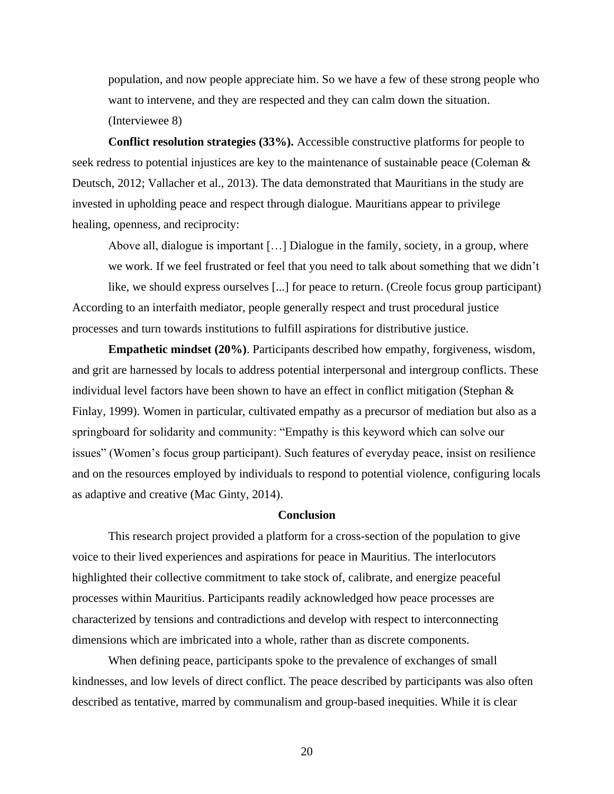population, and now people appreciate him. So we have a few of these strong people who want to intervene, and they are respected and they can calm down the situation. (Interviewee 8)

**Conflict resolution strategies (33%).** Accessible constructive platforms for people to seek redress to potential injustices are key to the maintenance of sustainable peace (Coleman & Deutsch, 2012; Vallacher et al., 2013). The data demonstrated that Mauritians in the study are invested in upholding peace and respect through dialogue. Mauritians appear to privilege healing, openness, and reciprocity:

Above all, dialogue is important […] Dialogue in the family, society, in a group, where we work. If we feel frustrated or feel that you need to talk about something that we didn't

like, we should express ourselves [...] for peace to return. (Creole focus group participant) According to an interfaith mediator, people generally respect and trust procedural justice processes and turn towards institutions to fulfill aspirations for distributive justice.

**Empathetic mindset (20%)**. Participants described how empathy, forgiveness, wisdom, and grit are harnessed by locals to address potential interpersonal and intergroup conflicts. These individual level factors have been shown to have an effect in conflict mitigation (Stephan & Finlay, 1999). Women in particular, cultivated empathy as a precursor of mediation but also as a springboard for solidarity and community: "Empathy is this keyword which can solve our issues" (Women's focus group participant). Such features of everyday peace, insist on resilience and on the resources employed by individuals to respond to potential violence, configuring locals as adaptive and creative (Mac Ginty, 2014).

# **Conclusion**

This research project provided a platform for a cross-section of the population to give voice to their lived experiences and aspirations for peace in Mauritius. The interlocutors highlighted their collective commitment to take stock of, calibrate, and energize peaceful processes within Mauritius. Participants readily acknowledged how peace processes are characterized by tensions and contradictions and develop with respect to interconnecting dimensions which are imbricated into a whole, rather than as discrete components.

When defining peace, participants spoke to the prevalence of exchanges of small kindnesses, and low levels of direct conflict. The peace described by participants was also often described as tentative, marred by communalism and group-based inequities. While it is clear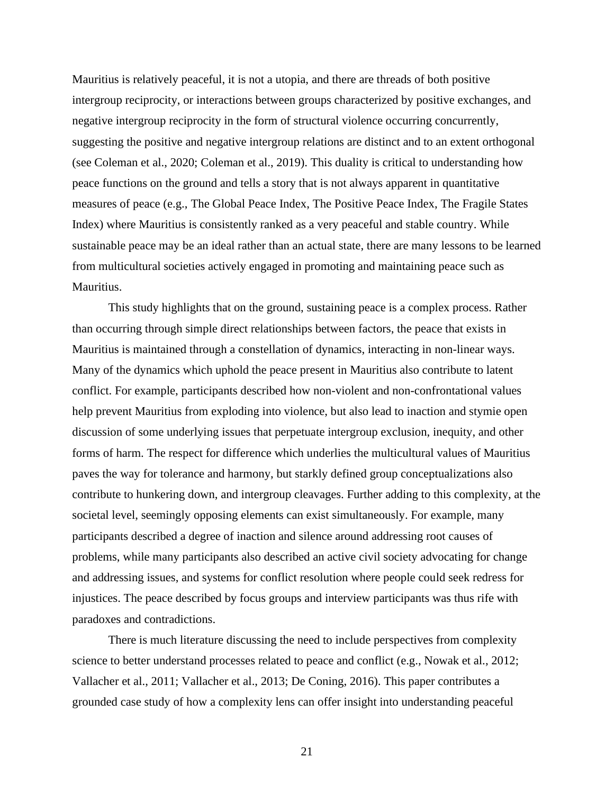Mauritius is relatively peaceful, it is not a utopia, and there are threads of both positive intergroup reciprocity, or interactions between groups characterized by positive exchanges, and negative intergroup reciprocity in the form of structural violence occurring concurrently, suggesting the positive and negative intergroup relations are distinct and to an extent orthogonal (see Coleman et al., 2020; Coleman et al., 2019). This duality is critical to understanding how peace functions on the ground and tells a story that is not always apparent in quantitative measures of peace (e.g., The Global Peace Index, The Positive Peace Index, The Fragile States Index) where Mauritius is consistently ranked as a very peaceful and stable country. While sustainable peace may be an ideal rather than an actual state, there are many lessons to be learned from multicultural societies actively engaged in promoting and maintaining peace such as Mauritius.

This study highlights that on the ground, sustaining peace is a complex process. Rather than occurring through simple direct relationships between factors, the peace that exists in Mauritius is maintained through a constellation of dynamics, interacting in non-linear ways. Many of the dynamics which uphold the peace present in Mauritius also contribute to latent conflict. For example, participants described how non-violent and non-confrontational values help prevent Mauritius from exploding into violence, but also lead to inaction and stymie open discussion of some underlying issues that perpetuate intergroup exclusion, inequity, and other forms of harm. The respect for difference which underlies the multicultural values of Mauritius paves the way for tolerance and harmony, but starkly defined group conceptualizations also contribute to hunkering down, and intergroup cleavages. Further adding to this complexity, at the societal level, seemingly opposing elements can exist simultaneously. For example, many participants described a degree of inaction and silence around addressing root causes of problems, while many participants also described an active civil society advocating for change and addressing issues, and systems for conflict resolution where people could seek redress for injustices. The peace described by focus groups and interview participants was thus rife with paradoxes and contradictions.

There is much literature discussing the need to include perspectives from complexity science to better understand processes related to peace and conflict (e.g., Nowak et al., 2012; Vallacher et al., 2011; Vallacher et al., 2013; De Coning, 2016). This paper contributes a grounded case study of how a complexity lens can offer insight into understanding peaceful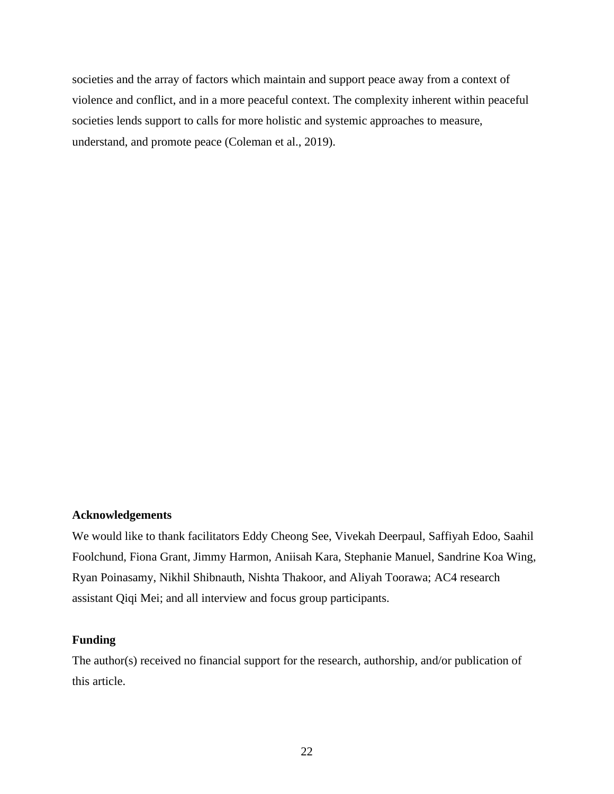societies and the array of factors which maintain and support peace away from a context of violence and conflict, and in a more peaceful context. The complexity inherent within peaceful societies lends support to calls for more holistic and systemic approaches to measure, understand, and promote peace (Coleman et al., 2019).

## **Acknowledgements**

We would like to thank facilitators Eddy Cheong See, Vivekah Deerpaul, Saffiyah Edoo, Saahil Foolchund, Fiona Grant, Jimmy Harmon, Aniisah Kara, Stephanie Manuel, Sandrine Koa Wing, Ryan Poinasamy, Nikhil Shibnauth, Nishta Thakoor, and Aliyah Toorawa; AC4 research assistant Qiqi Mei; and all interview and focus group participants.

# **Funding**

The author(s) received no financial support for the research, authorship, and/or publication of this article.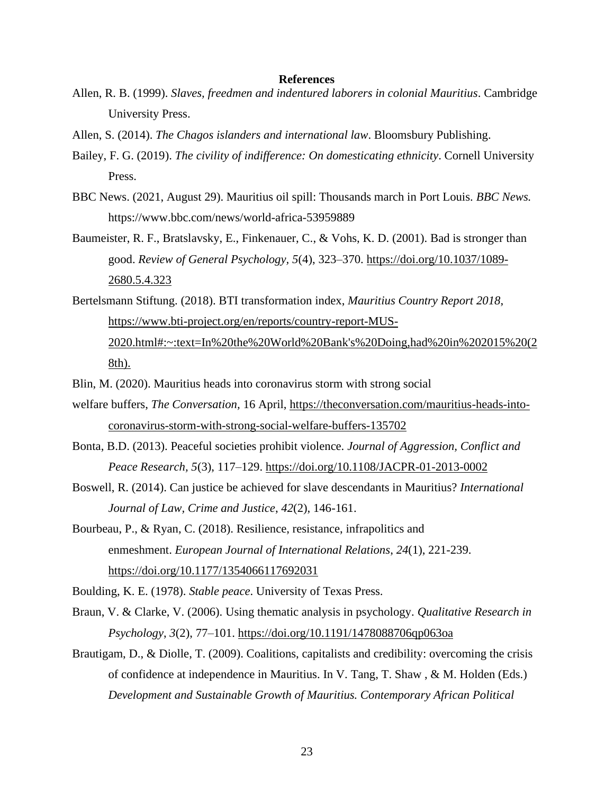#### **References**

- Allen, R. B. (1999). *Slaves, freedmen and indentured laborers in colonial Mauritius*. Cambridge University Press.
- Allen, S. (2014). *The Chagos islanders and international law*. Bloomsbury Publishing.
- Bailey, F. G. (2019). *The civility of indifference: On domesticating ethnicity*. Cornell University Press.
- BBC News. (2021, August 29). Mauritius oil spill: Thousands march in Port Louis. *BBC News.*  https://www.bbc.com/news/world-africa-53959889
- Baumeister, R. F., Bratslavsky, E., Finkenauer, C., & Vohs, K. D. (2001). Bad is stronger than good. *Review of General Psychology, 5*(4), 323–370. [https://doi.org/10.1037/1089-](https://doi.org/10.1037%2F1089-2680.5.4.323) [2680.5.4.323](https://doi.org/10.1037%2F1089-2680.5.4.323)
- Bertelsmann Stiftung. (2018). BTI transformation index, *Mauritius Country Report 2018*, [https://www.bti-project.org/en/reports/country-report-MUS-](https://www.bti-project.org/en/reports/country-report-MUS-2020.html#:~:text=In%20the%20World%20Bank)[2020.html#:~:text=In%20the%20World%20Bank's%20Doing,had%20in%202015%20\(2](https://www.bti-project.org/en/reports/country-report-MUS-2020.html#:~:text=In%20the%20World%20Bank) [8th\).](https://www.bti-project.org/en/reports/country-report-MUS-2020.html#:~:text=In%20the%20World%20Bank)
- Blin, M. (2020). Mauritius heads into coronavirus storm with strong social
- welfare buffers, *The Conversation,* 16 April, [https://theconversation.com/mauritius-heads-into](https://theconversation.com/mauritius-heads-into-coronavirus-storm-with-strong-social-welfare-buffers-135702)[coronavirus-storm-with-strong-social-welfare-buffers-135702](https://theconversation.com/mauritius-heads-into-coronavirus-storm-with-strong-social-welfare-buffers-135702)
- Bonta, B.D. (2013). Peaceful societies prohibit violence. *Journal of Aggression, Conflict and Peace Research, 5*(3), 117–129. <https://doi.org/10.1108/JACPR-01-2013-0002>
- Boswell, R. (2014). Can justice be achieved for slave descendants in Mauritius? *International Journal of Law, Crime and Justice*, *42*(2), 146-161.
- Bourbeau, P., & Ryan, C. (2018). Resilience, resistance, infrapolitics and enmeshment. *European Journal of International Relations*, *24*(1), 221-239. [https://doi.org/10.1177/1354066117692031](https://doi.org/10.1177%2F1354066117692031)

Boulding, K. E. (1978). *Stable peace*. University of Texas Press.

- Braun, V. & Clarke, V. (2006). Using thematic analysis in psychology. *Qualitative Research in Psychology*, *3*(2), 77–101.<https://doi.org/10.1191/1478088706qp063oa>
- Brautigam, D., & Diolle, T. (2009). Coalitions, capitalists and credibility: overcoming the crisis of confidence at independence in Mauritius. In V. Tang, T. Shaw , & M. Holden (Eds.) *Development and Sustainable Growth of Mauritius. Contemporary African Political*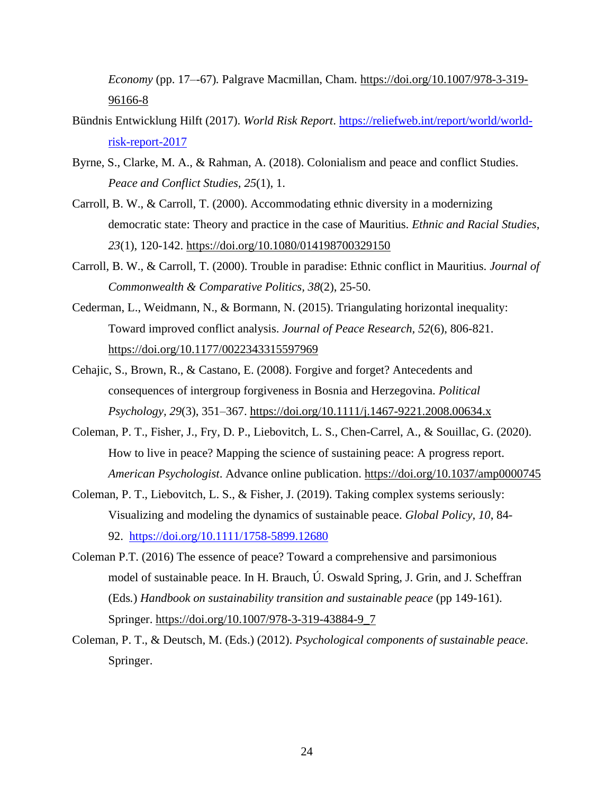*Economy* (pp. 17–-67)*.* Palgrave Macmillan, Cham. [https://doi.org/10.1007/978-3-319-](https://doi.org/10.1007/978-3-319-96166-8) [96166-8](https://doi.org/10.1007/978-3-319-96166-8)

- Bündnis Entwicklung Hilft (2017). *World Risk Report*. [https://reliefweb.int/report/world/world](https://reliefweb.int/report/world/world-risk-report-2017)[risk-report-2017](https://reliefweb.int/report/world/world-risk-report-2017)
- Byrne, S., Clarke, M. A., & Rahman, A. (2018). Colonialism and peace and conflict Studies. *Peace and Conflict Studies, 25*(1), 1.
- Carroll, B. W., & Carroll, T. (2000). Accommodating ethnic diversity in a modernizing democratic state: Theory and practice in the case of Mauritius. *Ethnic and Racial Studies*, *23*(1), 120-142. <https://doi.org/10.1080/014198700329150>
- Carroll, B. W., & Carroll, T. (2000). Trouble in paradise: Ethnic conflict in Mauritius. *Journal of Commonwealth & Comparative Politics, 38*(2), 25-50.
- Cederman, L., Weidmann, N., & Bormann, N. (2015). Triangulating horizontal inequality: Toward improved conflict analysis. *Journal of Peace Research, 52*(6), 806-821. [https://doi.org/10.1177/0022343315597969](https://doi.org/10.1177%2F0022343315597969)
- Cehajic, S., Brown, R., & Castano, E. (2008). Forgive and forget? Antecedents and consequences of intergroup forgiveness in Bosnia and Herzegovina. *Political Psychology, 29*(3), 351–367. [https://doi.org/10.1111/j.1467-9221.2008.00634.x](https://psycnet.apa.org/doi/10.1111/j.1467-9221.2008.00634.x)
- Coleman, P. T., Fisher, J., Fry, D. P., Liebovitch, L. S., Chen-Carrel, A., & Souillac, G. (2020). How to live in peace? Mapping the science of sustaining peace: A progress report. *American Psychologist*. Advance online publication.<https://doi.org/10.1037/amp0000745>
- Coleman, P. T., Liebovitch, L. S., & Fisher, J. (2019). Taking complex systems seriously: Visualizing and modeling the dynamics of sustainable peace. *Global Policy, 10*, 84- 92. <https://doi.org/10.1111/1758-5899.12680>
- Coleman P.T. (2016) The essence of peace? Toward a comprehensive and parsimonious model of sustainable peace. In H. Brauch, Ú. Oswald Spring, J. Grin, and J. Scheffran (Eds*.*) *Handbook on sustainability transition and sustainable peace* (pp 149-161). Springer. [https://doi.org/10.1007/978-3-319-43884-9\\_7](https://doi.org/10.1007/978-3-319-43884-9_7)
- Coleman, P. T., & Deutsch, M. (Eds.) (2012). *Psychological components of sustainable peace*. Springer.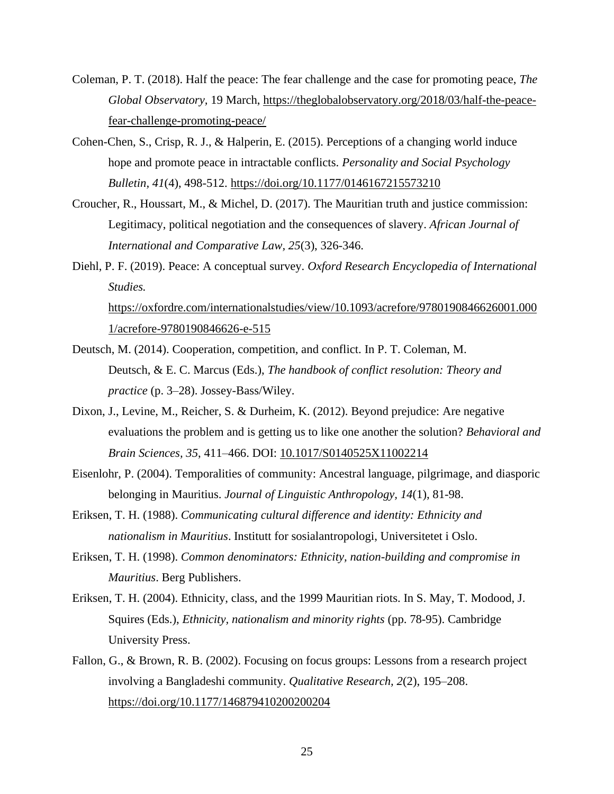- Coleman, P. T. (2018). Half the peace: The fear challenge and the case for promoting peace, *The Global Observatory,* 19 March, [https://theglobalobservatory.org/2018/03/half-the-peace](https://theglobalobservatory.org/2018/03/half-the-peace-fear-challenge-promoting-peace/)[fear-challenge-promoting-peace/](https://theglobalobservatory.org/2018/03/half-the-peace-fear-challenge-promoting-peace/)
- Cohen-Chen, S., Crisp, R. J., & Halperin, E. (2015). Perceptions of a changing world induce hope and promote peace in intractable conflicts. *Personality and Social Psychology Bulletin, 41*(4), 498-512. [https://doi.org/10.1177/0146167215573210](https://doi.org/10.1177%2F0146167215573210)
- Croucher, R., Houssart, M., & Michel, D. (2017). The Mauritian truth and justice commission: Legitimacy, political negotiation and the consequences of slavery. *African Journal of International and Comparative Law, 25*(3), 326-346.
- Diehl, P. F. (2019). Peace: A conceptual survey. *Oxford Research Encyclopedia of International Studies.* [https://oxfordre.com/internationalstudies/view/10.1093/acrefore/9780190846626001.000](https://oxfordre.com/internationalstudies/view/10.1093/acrefore/9780190846626001.0001/acrefore-9780190846626-e-515) [1/acrefore-9780190846626-e-515](https://oxfordre.com/internationalstudies/view/10.1093/acrefore/9780190846626001.0001/acrefore-9780190846626-e-515)
- Deutsch, M. (2014). Cooperation, competition, and conflict. In P. T. Coleman, M. Deutsch, & E. C. Marcus (Eds.), *The handbook of conflict resolution: Theory and practice* (p. 3–28). Jossey-Bass/Wiley.
- Dixon, J., Levine, M., Reicher, S. & Durheim, K. (2012). Beyond prejudice: Are negative evaluations the problem and is getting us to like one another the solution? *Behavioral and Brain Sciences, 35*, 411–466. DOI: [10.1017/S0140525X11002214](https://doi.org/10.1017/s0140525x11002214)
- Eisenlohr, P. (2004). Temporalities of community: Ancestral language, pilgrimage, and diasporic belonging in Mauritius. *Journal of Linguistic Anthropology, 14*(1), 81-98.
- Eriksen, T. H. (1988). *Communicating cultural difference and identity: Ethnicity and nationalism in Mauritius*. Institutt for sosialantropologi, Universitetet i Oslo.
- Eriksen, T. H. (1998). *Common denominators: Ethnicity, nation-building and compromise in Mauritius*. Berg Publishers.
- Eriksen, T. H. (2004). Ethnicity, class, and the 1999 Mauritian riots. In S. May, T. Modood, J. Squires (Eds.), *Ethnicity, nationalism and minority rights* (pp. 78-95). Cambridge University Press.
- Fallon, G., & Brown, R. B. (2002). Focusing on focus groups: Lessons from a research project involving a Bangladeshi community. *Qualitative Research, 2*(2), 195–208. [https://doi.org/10.1177/146879410200200204](https://doi.org/10.1177%2F146879410200200204)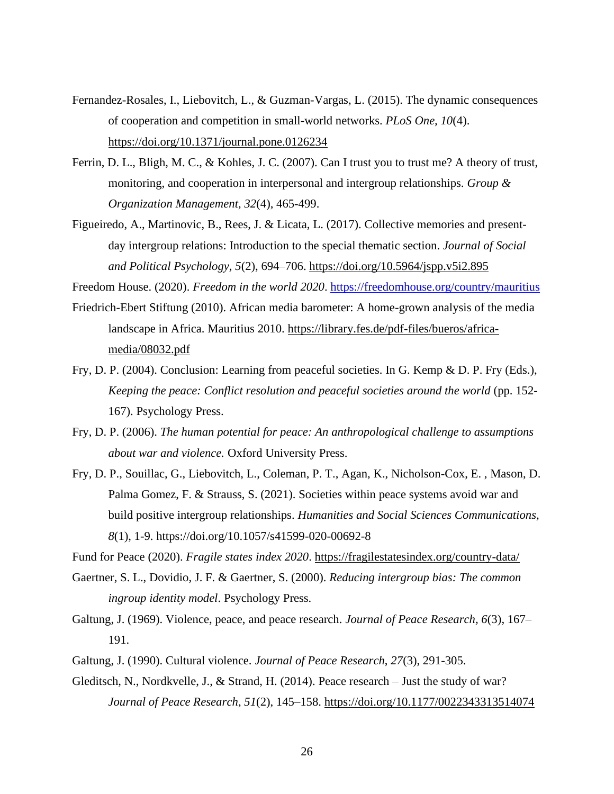- Fernandez-Rosales, I., Liebovitch, L., & Guzman-Vargas, L. (2015). The dynamic consequences of cooperation and competition in small-world networks. *PLoS One, 10*(4). <https://doi.org/10.1371/journal.pone.0126234>
- Ferrin, D. L., Bligh, M. C., & Kohles, J. C. (2007). Can I trust you to trust me? A theory of trust, monitoring, and cooperation in interpersonal and intergroup relationships. *Group & Organization Management, 32*(4), 465-499.
- Figueiredo, A., Martinovic, B., Rees, J. & Licata, L. (2017). Collective memories and presentday intergroup relations: Introduction to the special thematic section. *Journal of Social and Political Psychology, 5*(2), 694–706. <https://doi.org/10.5964/jspp.v5i2.895>

Freedom House. (2020). *Freedom in the world 2020*. <https://freedomhouse.org/country/mauritius>

- Friedrich-Ebert Stiftung (2010). African media barometer: A home-grown analysis of the media landscape in Africa. Mauritius 2010. [https://library.fes.de/pdf-files/bueros/africa](https://library.fes.de/pdf-files/bueros/africa-media/08032.pdf)[media/08032.pdf](https://library.fes.de/pdf-files/bueros/africa-media/08032.pdf)
- Fry, D. P. (2004). Conclusion: Learning from peaceful societies. In G. Kemp & D. P. Fry (Eds.), *Keeping the peace: Conflict resolution and peaceful societies around the world* (pp. 152- 167). Psychology Press.
- Fry, D. P. (2006). *The human potential for peace: An anthropological challenge to assumptions about war and violence.* Oxford University Press.
- Fry, D. P., Souillac, G., Liebovitch, L., Coleman, P. T., Agan, K., Nicholson-Cox, E. , Mason, D. Palma Gomez, F. & Strauss, S. (2021). Societies within peace systems avoid war and build positive intergroup relationships. *Humanities and Social Sciences Communications, 8*(1), 1-9. https://doi.org/10.1057/s41599-020-00692-8

Fund for Peace (2020). *Fragile states index 2020*.<https://fragilestatesindex.org/country-data/>

- Gaertner, S. L., Dovidio, J. F. & Gaertner, S. (2000). *Reducing intergroup bias: The common ingroup identity model*. Psychology Press.
- Galtung, J. (1969). Violence, peace, and peace research. *Journal of Peace Research, 6*(3), 167– 191.
- Galtung, J. (1990). Cultural violence. *Journal of Peace Research*, *27*(3), 291-305.
- Gleditsch, N., Nordkvelle, J., & Strand, H. (2014). Peace research Just the study of war? *Journal of Peace Research*, *51*(2), 145–158. [https://doi.org/10.1177/0022343313514074](https://doi.org/10.1177%2F0022343313514074)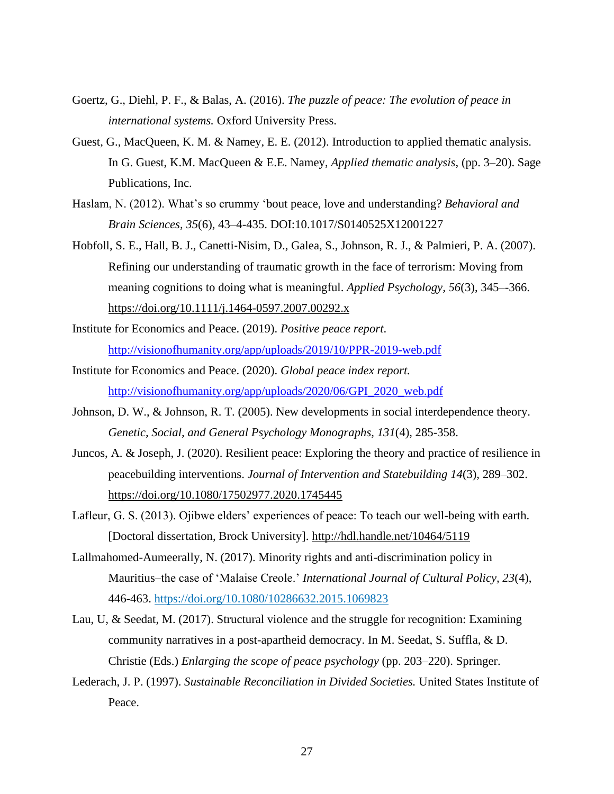- Goertz, G., Diehl, P. F., & Balas, A. (2016). *The puzzle of peace: The evolution of peace in international systems.* Oxford University Press.
- Guest, G., MacQueen, K. M. & Namey, E. E. (2012). Introduction to applied thematic analysis. In G. Guest, K.M. MacQueen & E.E. Namey, *Applied thematic analysis*, (pp. 3–20). Sage Publications, Inc.
- Haslam, N. (2012). What's so crummy 'bout peace, love and understanding? *Behavioral and Brain Sciences, 35*(6), 43–4-435. DOI:10.1017/S0140525X12001227
- Hobfoll, S. E., Hall, B. J., Canetti‐Nisim, D., Galea, S., Johnson, R. J., & Palmieri, P. A. (2007). Refining our understanding of traumatic growth in the face of terrorism: Moving from meaning cognitions to doing what is meaningful. *Applied Psychology, 56*(3), 345–-366. [https://doi.org/10.1111/j.1464-0597.2007.00292.x](https://psycnet.apa.org/doi/10.1111/j.1464-0597.2007.00292.x)
- Institute for Economics and Peace. (2019). *Positive peace report*. <http://visionofhumanity.org/app/uploads/2019/10/PPR-2019-web.pdf>
- Institute for Economics and Peace. (2020). *Global peace index report.* [http://visionofhumanity.org/app/uploads/2020/06/GPI\\_2020\\_web.pdf](http://visionofhumanity.org/app/uploads/2020/06/GPI_2020_web.pdf)
- Johnson, D. W., & Johnson, R. T. (2005). New developments in social interdependence theory. *Genetic, Social, and General Psychology Monographs, 131*(4), 285-358.
- Juncos, A. & Joseph, J. (2020). Resilient peace: Exploring the theory and practice of resilience in peacebuilding interventions. *Journal of Intervention and Statebuilding 14*(3), 289–302. <https://doi.org/10.1080/17502977.2020.1745445>
- Lafleur, G. S. (2013). Ojibwe elders' experiences of peace: To teach our well-being with earth. [Doctoral dissertation, Brock University].<http://hdl.handle.net/10464/5119>
- Lallmahomed-Aumeerally, N. (2017). Minority rights and anti-discrimination policy in Mauritius–the case of 'Malaise Creole.' *International Journal of Cultural Policy, 23*(4), 446-463. <https://doi.org/10.1080/10286632.2015.1069823>
- Lau, U, & Seedat, M. (2017). Structural violence and the struggle for recognition: Examining community narratives in a post-apartheid democracy. In M. Seedat, S. Suffla, & D. Christie (Eds.) *Enlarging the scope of peace psychology* (pp. 203–220). Springer.
- Lederach, J. P. (1997). *Sustainable Reconciliation in Divided Societies.* United States Institute of Peace.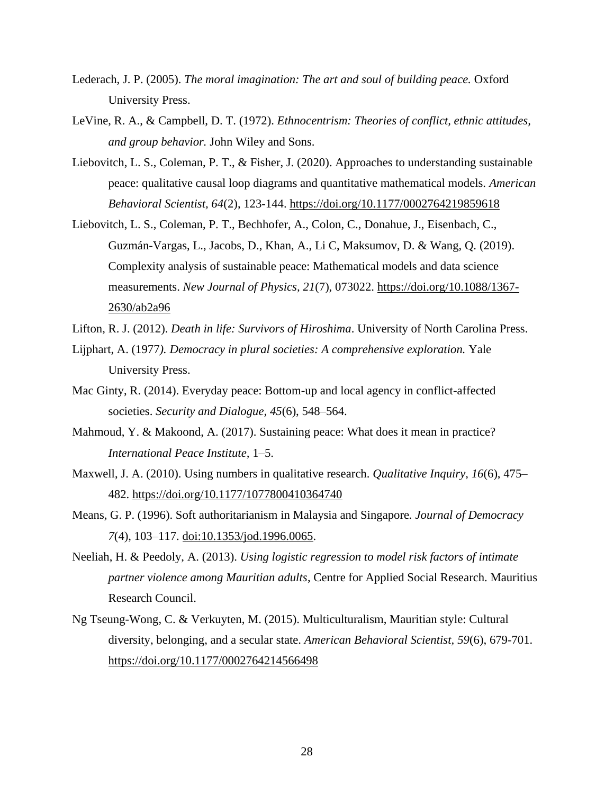- Lederach, J. P. (2005). *The moral imagination: The art and soul of building peace.* Oxford University Press.
- LeVine, R. A., & Campbell, D. T. (1972). *Ethnocentrism: Theories of conflict, ethnic attitudes, and group behavior.* John Wiley and Sons.
- Liebovitch, L. S., Coleman, P. T., & Fisher, J. (2020). Approaches to understanding sustainable peace: qualitative causal loop diagrams and quantitative mathematical models. *American Behavioral Scientist, 64*(2), 123-144. [https://doi.org/10.1177/0002764219859618](https://doi.org/10.1177%2F0002764219859618)
- Liebovitch, L. S., Coleman, P. T., Bechhofer, A., Colon, C., Donahue, J., Eisenbach, C., Guzmán-Vargas, L., Jacobs, D., Khan, A., Li C, Maksumov, D. & Wang, Q. (2019). Complexity analysis of sustainable peace: Mathematical models and data science measurements. *New Journal of Physics, 21*(7), 073022. [https://doi.org/10.1088/1367-](https://doi.org/10.1088/1367-2630/ab2a96) [2630/ab2a96](https://doi.org/10.1088/1367-2630/ab2a96)
- Lifton, R. J. (2012). *Death in life: Survivors of Hiroshima*. University of North Carolina Press.
- Lijphart, A. (1977*). Democracy in plural societies: A comprehensive exploration.* Yale University Press.
- Mac Ginty, R. (2014). Everyday peace: Bottom-up and local agency in conflict-affected societies. *Security and Dialogue, 45*(6), 548–564.
- Mahmoud, Y. & Makoond, A. (2017). Sustaining peace: What does it mean in practice? *International Peace Institute,* 1–5.
- Maxwell, J. A. (2010). Using numbers in qualitative research. *Qualitative Inquiry, 16*(6), 475– 482. [https://doi.org/10.1177/1077800410364740](https://doi.org/10.1177%2F1077800410364740)
- Means, G. P. (1996). Soft authoritarianism in Malaysia and Singapore*. Journal of Democracy 7*(4), 103–117. [doi:10.1353/jod.1996.0065.](http://doi.org/10.1353/jod.1996.0065)
- Neeliah, H. & Peedoly, A. (2013). *Using logistic regression to model risk factors of intimate partner violence among Mauritian adults*, Centre for Applied Social Research. Mauritius Research Council.
- Ng Tseung-Wong, C. & Verkuyten, M. (2015). Multiculturalism, Mauritian style: Cultural diversity, belonging, and a secular state. *American Behavioral Scientist, 59*(6), 679-701. [https://doi.org/10.1177/0002764214566498](https://doi.org/10.1177%2F0002764214566498)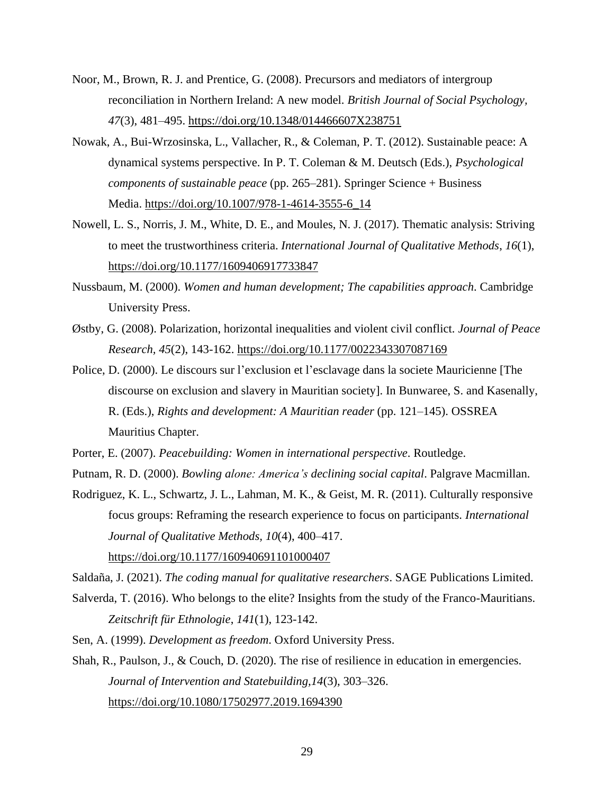- Noor, M., Brown, R. J. and Prentice, G. (2008). Precursors and mediators of intergroup reconciliation in Northern Ireland: A new model. *British Journal of Social Psychology, 47*(3), 481–495. <https://doi.org/10.1348/014466607X238751>
- Nowak, A., Bui-Wrzosinska, L., Vallacher, R., & Coleman, P. T. (2012). Sustainable peace: A dynamical systems perspective. In P. T. Coleman & M. Deutsch (Eds.), *Psychological components of sustainable peace* (pp. 265–281). Springer Science + Business Media. [https://doi.org/10.1007/978-1-4614-3555-6\\_14](https://psycnet.apa.org/doi/10.1007/978-1-4614-3555-6_14)
- Nowell, L. S., Norris, J. M., White, D. E., and Moules, N. J. (2017). Thematic analysis: Striving to meet the trustworthiness criteria. *International Journal of Qualitative Methods*, *16*(1), <https://doi.org/10.1177/1609406917733847>
- Nussbaum, M. (2000). *Women and human development; The capabilities approach*. Cambridge University Press.
- Østby, G. (2008). Polarization, horizontal inequalities and violent civil conflict. *Journal of Peace Research, 45*(2), 143-162. [https://doi.org/10.1177/0022343307087169](https://doi.org/10.1177%2F0022343307087169)
- Police, D. (2000). Le discours sur l'exclusion et l'esclavage dans la societe Mauricienne [The discourse on exclusion and slavery in Mauritian society]. In Bunwaree, S. and Kasenally, R. (Eds.), *Rights and development: A Mauritian reader* (pp. 121–145). OSSREA Mauritius Chapter.
- Porter, E. (2007). *Peacebuilding: Women in international perspective*. Routledge.
- Putnam, R. D. (2000). *Bowling alone: America's declining social capital*. Palgrave Macmillan.
- Rodriguez, K. L., Schwartz, J. L., Lahman, M. K., & Geist, M. R. (2011). Culturally responsive focus groups: Reframing the research experience to focus on participants. *International Journal of Qualitative Methods, 10*(4), 400–417.

[https://doi.org/10.1177/160940691101000407](https://doi.org/10.1177%2F160940691101000407)

Saldaña, J. (2021). *The coding manual for qualitative researchers*. SAGE Publications Limited.

- Salverda, T. (2016). Who belongs to the elite? Insights from the study of the Franco-Mauritians. *Zeitschrift für Ethnologie*, *141*(1), 123-142.
- Sen, A. (1999). *Development as freedom*. Oxford University Press.
- Shah, R., Paulson, J., & Couch, D. (2020). The rise of resilience in education in emergencies. *Journal of Intervention and Statebuilding,14*(3), 303–326. <https://doi.org/10.1080/17502977.2019.1694390>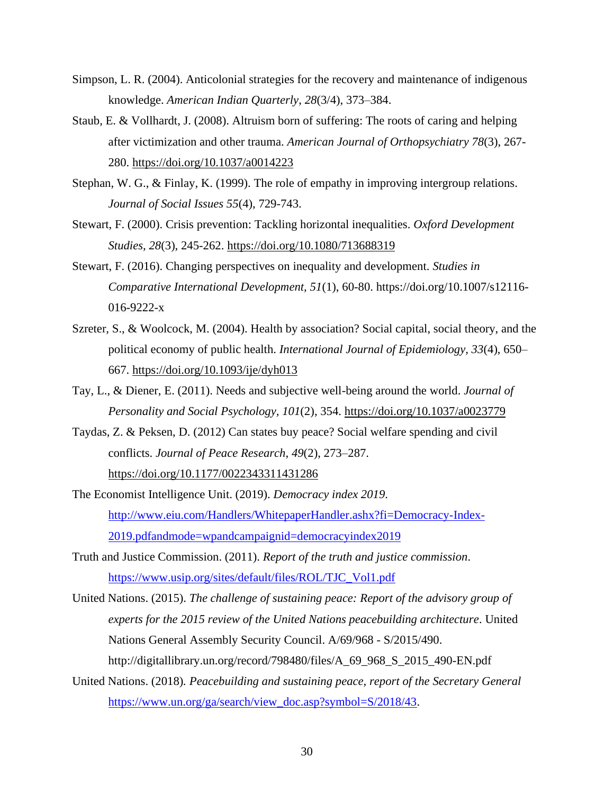- Simpson, L. R. (2004). Anticolonial strategies for the recovery and maintenance of indigenous knowledge. *American Indian Quarterly*, *28*(3/4), 373–384.
- Staub, E. & Vollhardt, J. (2008). Altruism born of suffering: The roots of caring and helping after victimization and other trauma. *American Journal of Orthopsychiatry 78*(3), 267- 280. [https://doi.org/10.1037/a0014223](https://doi.apa.org/doi/10.1037/a0014223)
- Stephan, W. G., & Finlay, K. (1999). The role of empathy in improving intergroup relations. *Journal of Social Issues 55*(4), 729-743.
- Stewart, F. (2000). Crisis prevention: Tackling horizontal inequalities. *Oxford Development Studies, 28*(3), 245-262. <https://doi.org/10.1080/713688319>
- Stewart, F. (2016). Changing perspectives on inequality and development. *Studies in Comparative International Development, 51*(1), 60-80. https://doi.org/10.1007/s12116- 016-9222-x
- Szreter, S., & Woolcock, M. (2004). Health by association? Social capital, social theory, and the political economy of public health. *International Journal of Epidemiology, 33*(4), 650– 667. <https://doi.org/10.1093/ije/dyh013>
- Tay, L., & Diener, E. (2011). Needs and subjective well-being around the world. *Journal of Personality and Social Psychology, 101*(2), 354. [https://doi.org/10.1037/a0023779](https://doi.apa.org/doi/10.1037/a0023779)
- Taydas, Z. & Peksen, D. (2012) Can states buy peace? Social welfare spending and civil conflicts. *Journal of Peace Research*, *49*(2), 273–287. [https://doi.org/10.1177/0022343311431286](https://doi.org/10.1177%2F0022343311431286)
- The Economist Intelligence Unit. (2019). *Democracy index 2019*. [http://www.eiu.com/Handlers/WhitepaperHandler.ashx?fi=Democracy-Index-](http://www.eiu.com/Handlers/WhitepaperHandler.ashx?fi=Democracy-Index-2019.pdfandmode=wpandcampaignid=democracyindex2019)[2019.pdfandmode=wpandcampaignid=democracyindex2019](http://www.eiu.com/Handlers/WhitepaperHandler.ashx?fi=Democracy-Index-2019.pdfandmode=wpandcampaignid=democracyindex2019)
- Truth and Justice Commission. (2011). *Report of the truth and justice commission*. [https://www.usip.org/sites/default/files/ROL/TJC\\_Vol1.pdf](https://www.usip.org/sites/default/files/ROL/TJC_Vol1.pdf)
- United Nations. (2015). *The challenge of sustaining peace: Report of the advisory group of experts for the 2015 review of the United Nations peacebuilding architecture*. United Nations General Assembly Security Council. A/69/968 - S/2015/490. http://digitallibrary.un.org/record/798480/files/A\_69\_968\_S\_2015\_490-EN.pdf
- United Nations. (2018)*. Peacebuilding and sustaining peace, report of the Secretary General*  [https://www.un.org/ga/search/view\\_doc.asp?symbol=S/2018/43.](https://www.un.org/ga/search/view_doc.asp?symbol=S/2018/43)